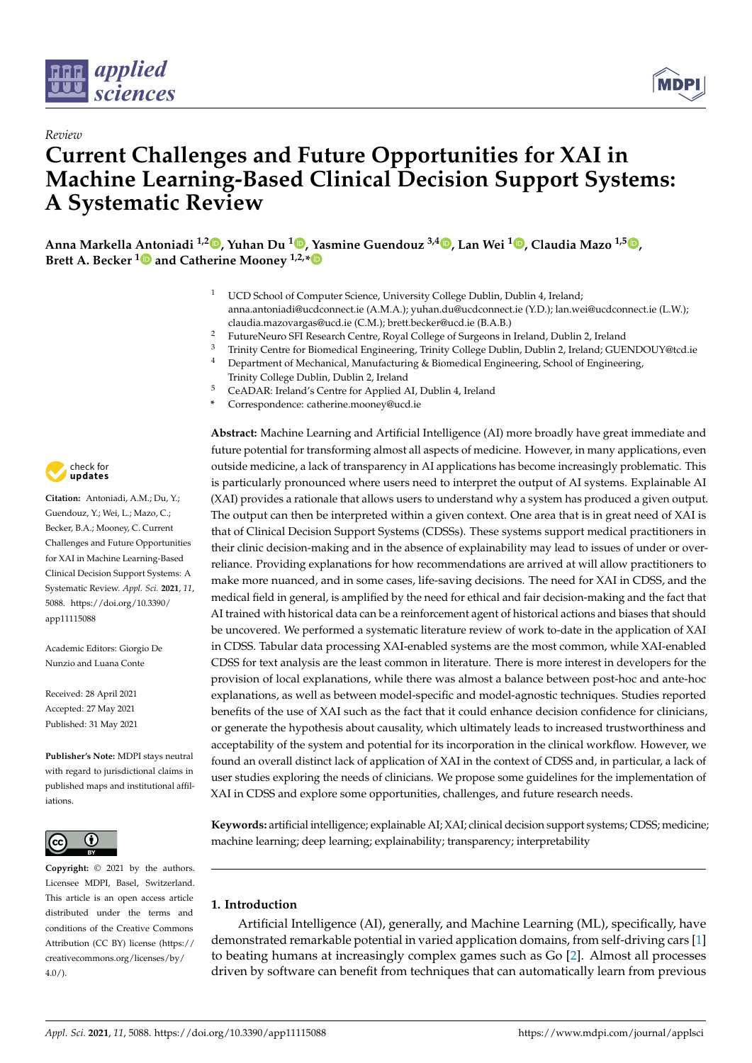

*Review*



# **Current Challenges and Future Opportunities for XAI in Machine Learning-Based Clinical Decision Support Systems: A Systematic Review**

**Anna Markella Antoniadi 1,2 [,](https://orcid.org/0000-0002-8285-1997) Yuhan Du <sup>1</sup> [,](https://orcid.org/0000-0002-3285-8760) Yasmine Guendouz 3,4 [,](https://orcid.org/0000-0003-2830-5941) Lan Wei <sup>1</sup> [,](https://orcid.org/0000-0002-7236-3965) Claudia Mazo 1,5 [,](https://orcid.org/0000-0003-1703-8964) Brett A. Becker [1](https://orcid.org/0000-0003-1446-647X) and Catherine Mooney 1,2,[\\*](https://orcid.org/0000-0002-7696-1364)**

- UCD School of Computer Science, University College Dublin, Dublin 4, Ireland; anna.antoniadi@ucdconnect.ie (A.M.A.); yuhan.du@ucdconnect.ie (Y.D.); lan.wei@ucdconnect.ie (L.W.); claudia.mazovargas@ucd.ie (C.M.); brett.becker@ucd.ie (B.A.B.)
- <sup>2</sup> FutureNeuro SFI Research Centre, Royal College of Surgeons in Ireland, Dublin 2, Ireland<br><sup>3</sup> Trinity Centre for Biomedical Engineering Trinity College Dublin Dublin 2, Ireland: CLIE
- <sup>3</sup> Trinity Centre for Biomedical Engineering, Trinity College Dublin, Dublin 2, Ireland; GUENDOUY@tcd.ie
- Department of Mechanical, Manufacturing & Biomedical Engineering, School of Engineering, Trinity College Dublin, Dublin 2, Ireland
- <sup>5</sup> CeADAR: Ireland's Centre for Applied AI, Dublin 4, Ireland
- **\*** Correspondence: catherine.mooney@ucd.ie

**Abstract:** Machine Learning and Artificial Intelligence (AI) more broadly have great immediate and future potential for transforming almost all aspects of medicine. However, in many applications, even outside medicine, a lack of transparency in AI applications has become increasingly problematic. This is particularly pronounced where users need to interpret the output of AI systems. Explainable AI (XAI) provides a rationale that allows users to understand why a system has produced a given output. The output can then be interpreted within a given context. One area that is in great need of XAI is that of Clinical Decision Support Systems (CDSSs). These systems support medical practitioners in their clinic decision-making and in the absence of explainability may lead to issues of under or overreliance. Providing explanations for how recommendations are arrived at will allow practitioners to make more nuanced, and in some cases, life-saving decisions. The need for XAI in CDSS, and the medical field in general, is amplified by the need for ethical and fair decision-making and the fact that AI trained with historical data can be a reinforcement agent of historical actions and biases that should be uncovered. We performed a systematic literature review of work to-date in the application of XAI in CDSS. Tabular data processing XAI-enabled systems are the most common, while XAI-enabled CDSS for text analysis are the least common in literature. There is more interest in developers for the provision of local explanations, while there was almost a balance between post-hoc and ante-hoc explanations, as well as between model-specific and model-agnostic techniques. Studies reported benefits of the use of XAI such as the fact that it could enhance decision confidence for clinicians, or generate the hypothesis about causality, which ultimately leads to increased trustworthiness and acceptability of the system and potential for its incorporation in the clinical workflow. However, we found an overall distinct lack of application of XAI in the context of CDSS and, in particular, a lack of user studies exploring the needs of clinicians. We propose some guidelines for the implementation of XAI in CDSS and explore some opportunities, challenges, and future research needs.

**Keywords:** artificial intelligence; explainable AI; XAI; clinical decision support systems; CDSS; medicine; machine learning; deep learning; explainability; transparency; interpretability

# **1. Introduction**

Artificial Intelligence (AI), generally, and Machine Learning (ML), specifically, have demonstrated remarkable potential in varied application domains, from self-driving cars [\[1\]](#page-17-0) to beating humans at increasingly complex games such as Go [\[2\]](#page-17-1). Almost all processes driven by software can benefit from techniques that can automatically learn from previous



**Citation:** Antoniadi, A.M.; Du, Y.; Guendouz, Y.; Wei, L.; Mazo, C.; Becker, B.A.; Mooney, C. Current Challenges and Future Opportunities for XAI in Machine Learning-Based Clinical Decision Support Systems: A Systematic Review. *Appl. Sci.* **2021**, *11*, 5088. [https://doi.org/10.3390/](https://doi.org/10.3390/app11115088) [app11115088](https://doi.org/10.3390/app11115088)

Academic Editors: Giorgio De Nunzio and Luana Conte

Received: 28 April 2021 Accepted: 27 May 2021 Published: 31 May 2021

**Publisher's Note:** MDPI stays neutral with regard to jurisdictional claims in published maps and institutional affiliations.



**Copyright:** © 2021 by the authors. Licensee MDPI, Basel, Switzerland. This article is an open access article distributed under the terms and conditions of the Creative Commons Attribution (CC BY) license (https:/[/](https://creativecommons.org/licenses/by/4.0/) [creativecommons.org/licenses/by/](https://creativecommons.org/licenses/by/4.0/) 4.0/).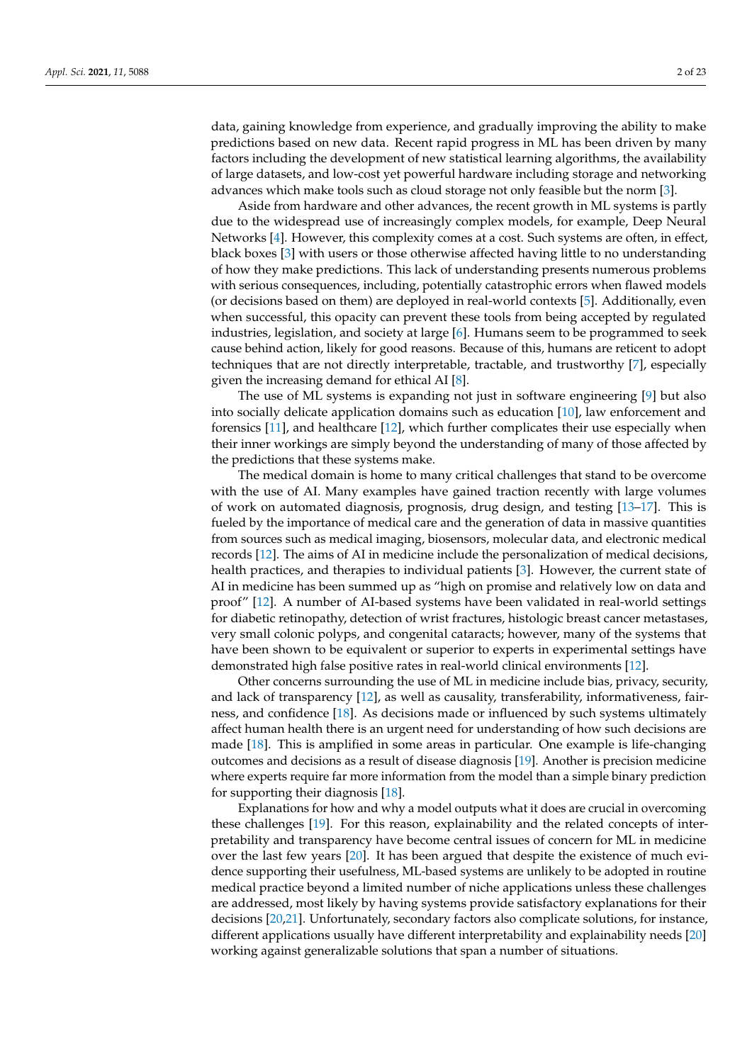data, gaining knowledge from experience, and gradually improving the ability to make predictions based on new data. Recent rapid progress in ML has been driven by many factors including the development of new statistical learning algorithms, the availability of large datasets, and low-cost yet powerful hardware including storage and networking advances which make tools such as cloud storage not only feasible but the norm [\[3\]](#page-17-2).

Aside from hardware and other advances, the recent growth in ML systems is partly due to the widespread use of increasingly complex models, for example, Deep Neural Networks [\[4\]](#page-17-3). However, this complexity comes at a cost. Such systems are often, in effect, black boxes [\[3\]](#page-17-2) with users or those otherwise affected having little to no understanding of how they make predictions. This lack of understanding presents numerous problems with serious consequences, including, potentially catastrophic errors when flawed models (or decisions based on them) are deployed in real-world contexts [\[5\]](#page-17-4). Additionally, even when successful, this opacity can prevent these tools from being accepted by regulated industries, legislation, and society at large [\[6\]](#page-17-5). Humans seem to be programmed to seek cause behind action, likely for good reasons. Because of this, humans are reticent to adopt techniques that are not directly interpretable, tractable, and trustworthy [\[7\]](#page-17-6), especially given the increasing demand for ethical AI [\[8\]](#page-17-7).

The use of ML systems is expanding not just in software engineering [\[9\]](#page-17-8) but also into socially delicate application domains such as education [\[10\]](#page-17-9), law enforcement and forensics [\[11\]](#page-17-10), and healthcare [\[12\]](#page-17-11), which further complicates their use especially when their inner workings are simply beyond the understanding of many of those affected by the predictions that these systems make.

The medical domain is home to many critical challenges that stand to be overcome with the use of AI. Many examples have gained traction recently with large volumes of work on automated diagnosis, prognosis, drug design, and testing [\[13](#page-18-0)[–17\]](#page-18-1). This is fueled by the importance of medical care and the generation of data in massive quantities from sources such as medical imaging, biosensors, molecular data, and electronic medical records [\[12\]](#page-17-11). The aims of AI in medicine include the personalization of medical decisions, health practices, and therapies to individual patients [\[3\]](#page-17-2). However, the current state of AI in medicine has been summed up as "high on promise and relatively low on data and proof" [\[12\]](#page-17-11). A number of AI-based systems have been validated in real-world settings for diabetic retinopathy, detection of wrist fractures, histologic breast cancer metastases, very small colonic polyps, and congenital cataracts; however, many of the systems that have been shown to be equivalent or superior to experts in experimental settings have demonstrated high false positive rates in real-world clinical environments [\[12\]](#page-17-11).

Other concerns surrounding the use of ML in medicine include bias, privacy, security, and lack of transparency [\[12\]](#page-17-11), as well as causality, transferability, informativeness, fairness, and confidence [\[18\]](#page-18-2). As decisions made or influenced by such systems ultimately affect human health there is an urgent need for understanding of how such decisions are made [\[18\]](#page-18-2). This is amplified in some areas in particular. One example is life-changing outcomes and decisions as a result of disease diagnosis [\[19\]](#page-18-3). Another is precision medicine where experts require far more information from the model than a simple binary prediction for supporting their diagnosis [\[18\]](#page-18-2).

Explanations for how and why a model outputs what it does are crucial in overcoming these challenges [\[19\]](#page-18-3). For this reason, explainability and the related concepts of interpretability and transparency have become central issues of concern for ML in medicine over the last few years [\[20\]](#page-18-4). It has been argued that despite the existence of much evidence supporting their usefulness, ML-based systems are unlikely to be adopted in routine medical practice beyond a limited number of niche applications unless these challenges are addressed, most likely by having systems provide satisfactory explanations for their decisions [\[20,](#page-18-4)[21\]](#page-18-5). Unfortunately, secondary factors also complicate solutions, for instance, different applications usually have different interpretability and explainability needs [\[20\]](#page-18-4) working against generalizable solutions that span a number of situations.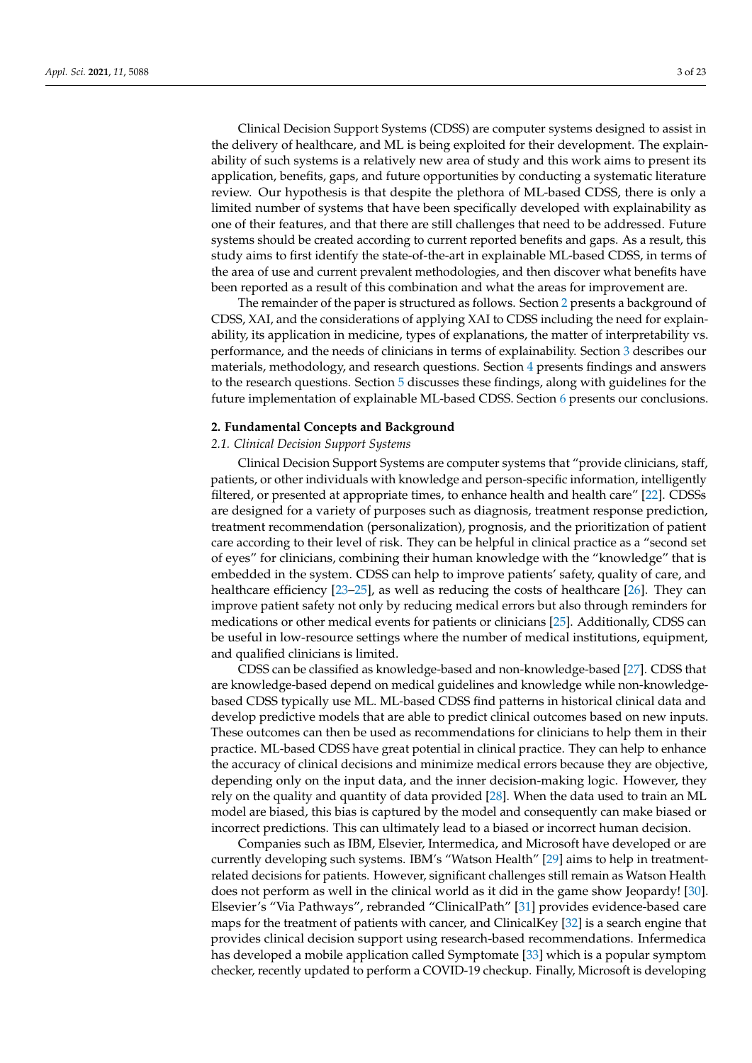Clinical Decision Support Systems (CDSS) are computer systems designed to assist in the delivery of healthcare, and ML is being exploited for their development. The explainability of such systems is a relatively new area of study and this work aims to present its application, benefits, gaps, and future opportunities by conducting a systematic literature review. Our hypothesis is that despite the plethora of ML-based CDSS, there is only a limited number of systems that have been specifically developed with explainability as one of their features, and that there are still challenges that need to be addressed. Future systems should be created according to current reported benefits and gaps. As a result, this study aims to first identify the state-of-the-art in explainable ML-based CDSS, in terms of

been reported as a result of this combination and what the areas for improvement are. The remainder of the paper is structured as follows. Section [2](#page-2-0) presents a background of CDSS, XAI, and the considerations of applying XAI to CDSS including the need for explainability, its application in medicine, types of explanations, the matter of interpretability vs. performance, and the needs of clinicians in terms of explainability. Section [3](#page-8-0) describes our materials, methodology, and research questions. Section [4](#page-10-0) presents findings and answers to the research questions. Section [5](#page-14-0) discusses these findings, along with guidelines for the future implementation of explainable ML-based CDSS. Section [6](#page-16-0) presents our conclusions.

the area of use and current prevalent methodologies, and then discover what benefits have

#### <span id="page-2-0"></span>**2. Fundamental Concepts and Background**

## *2.1. Clinical Decision Support Systems*

Clinical Decision Support Systems are computer systems that "provide clinicians, staff, patients, or other individuals with knowledge and person-specific information, intelligently filtered, or presented at appropriate times, to enhance health and health care" [\[22\]](#page-18-6). CDSSs are designed for a variety of purposes such as diagnosis, treatment response prediction, treatment recommendation (personalization), prognosis, and the prioritization of patient care according to their level of risk. They can be helpful in clinical practice as a "second set of eyes" for clinicians, combining their human knowledge with the "knowledge" that is embedded in the system. CDSS can help to improve patients' safety, quality of care, and healthcare efficiency [\[23–](#page-18-7)[25\]](#page-18-8), as well as reducing the costs of healthcare [\[26\]](#page-18-9). They can improve patient safety not only by reducing medical errors but also through reminders for medications or other medical events for patients or clinicians [\[25\]](#page-18-8). Additionally, CDSS can be useful in low-resource settings where the number of medical institutions, equipment, and qualified clinicians is limited.

CDSS can be classified as knowledge-based and non-knowledge-based [\[27\]](#page-18-10). CDSS that are knowledge-based depend on medical guidelines and knowledge while non-knowledgebased CDSS typically use ML. ML-based CDSS find patterns in historical clinical data and develop predictive models that are able to predict clinical outcomes based on new inputs. These outcomes can then be used as recommendations for clinicians to help them in their practice. ML-based CDSS have great potential in clinical practice. They can help to enhance the accuracy of clinical decisions and minimize medical errors because they are objective, depending only on the input data, and the inner decision-making logic. However, they rely on the quality and quantity of data provided [\[28\]](#page-18-11). When the data used to train an ML model are biased, this bias is captured by the model and consequently can make biased or incorrect predictions. This can ultimately lead to a biased or incorrect human decision.

Companies such as IBM, Elsevier, Intermedica, and Microsoft have developed or are currently developing such systems. IBM's "Watson Health" [\[29\]](#page-18-12) aims to help in treatmentrelated decisions for patients. However, significant challenges still remain as Watson Health does not perform as well in the clinical world as it did in the game show Jeopardy! [\[30\]](#page-18-13). Elsevier's "Via Pathways", rebranded "ClinicalPath" [\[31\]](#page-18-14) provides evidence-based care maps for the treatment of patients with cancer, and ClinicalKey [\[32\]](#page-18-15) is a search engine that provides clinical decision support using research-based recommendations. Infermedica has developed a mobile application called Symptomate [\[33\]](#page-18-16) which is a popular symptom checker, recently updated to perform a COVID-19 checkup. Finally, Microsoft is developing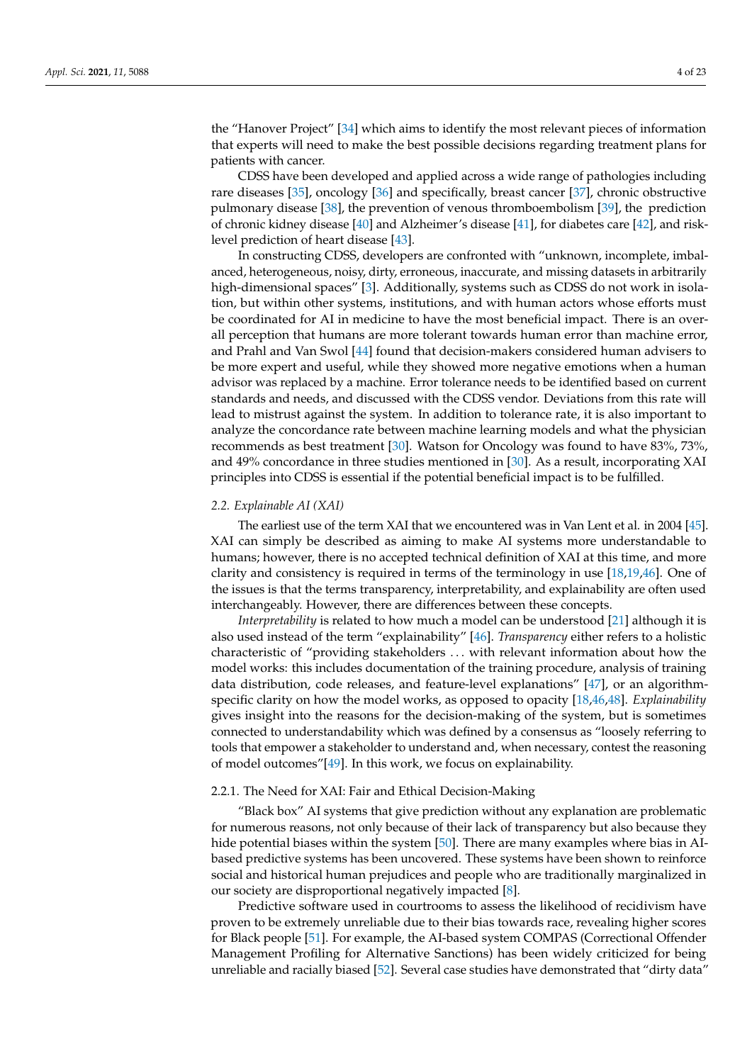the "Hanover Project" [\[34\]](#page-18-17) which aims to identify the most relevant pieces of information that experts will need to make the best possible decisions regarding treatment plans for patients with cancer.

CDSS have been developed and applied across a wide range of pathologies including rare diseases [\[35\]](#page-18-18), oncology [\[36\]](#page-18-19) and specifically, breast cancer [\[37\]](#page-18-20), chronic obstructive pulmonary disease [\[38\]](#page-18-21), the prevention of venous thromboembolism [\[39\]](#page-18-22), the prediction of chronic kidney disease [\[40\]](#page-18-23) and Alzheimer's disease [\[41\]](#page-18-24), for diabetes care [\[42\]](#page-18-25), and risklevel prediction of heart disease [\[43\]](#page-19-0).

In constructing CDSS, developers are confronted with "unknown, incomplete, imbalanced, heterogeneous, noisy, dirty, erroneous, inaccurate, and missing datasets in arbitrarily high-dimensional spaces" [\[3\]](#page-17-2). Additionally, systems such as CDSS do not work in isolation, but within other systems, institutions, and with human actors whose efforts must be coordinated for AI in medicine to have the most beneficial impact. There is an overall perception that humans are more tolerant towards human error than machine error, and Prahl and Van Swol [\[44\]](#page-19-1) found that decision-makers considered human advisers to be more expert and useful, while they showed more negative emotions when a human advisor was replaced by a machine. Error tolerance needs to be identified based on current standards and needs, and discussed with the CDSS vendor. Deviations from this rate will lead to mistrust against the system. In addition to tolerance rate, it is also important to analyze the concordance rate between machine learning models and what the physician recommends as best treatment [\[30\]](#page-18-13). Watson for Oncology was found to have 83%, 73%, and 49% concordance in three studies mentioned in [\[30\]](#page-18-13). As a result, incorporating XAI principles into CDSS is essential if the potential beneficial impact is to be fulfilled.

## *2.2. Explainable AI (XAI)*

The earliest use of the term XAI that we encountered was in Van Lent et al. in 2004 [\[45\]](#page-19-2). XAI can simply be described as aiming to make AI systems more understandable to humans; however, there is no accepted technical definition of XAI at this time, and more clarity and consistency is required in terms of the terminology in use [\[18](#page-18-2)[,19](#page-18-3)[,46\]](#page-19-3). One of the issues is that the terms transparency, interpretability, and explainability are often used interchangeably. However, there are differences between these concepts.

*Interpretability* is related to how much a model can be understood [\[21\]](#page-18-5) although it is also used instead of the term "explainability" [\[46\]](#page-19-3). *Transparency* either refers to a holistic characteristic of "providing stakeholders . . . with relevant information about how the model works: this includes documentation of the training procedure, analysis of training data distribution, code releases, and feature-level explanations" [\[47\]](#page-19-4), or an algorithmspecific clarity on how the model works, as opposed to opacity [\[18](#page-18-2)[,46](#page-19-3)[,48\]](#page-19-5). *Explainability* gives insight into the reasons for the decision-making of the system, but is sometimes connected to understandability which was defined by a consensus as "loosely referring to tools that empower a stakeholder to understand and, when necessary, contest the reasoning of model outcomes"[\[49\]](#page-19-6). In this work, we focus on explainability.

## <span id="page-3-0"></span>2.2.1. The Need for XAI: Fair and Ethical Decision-Making

"Black box" AI systems that give prediction without any explanation are problematic for numerous reasons, not only because of their lack of transparency but also because they hide potential biases within the system [\[50\]](#page-19-7). There are many examples where bias in AIbased predictive systems has been uncovered. These systems have been shown to reinforce social and historical human prejudices and people who are traditionally marginalized in our society are disproportional negatively impacted [\[8\]](#page-17-7).

Predictive software used in courtrooms to assess the likelihood of recidivism have proven to be extremely unreliable due to their bias towards race, revealing higher scores for Black people [\[51\]](#page-19-8). For example, the AI-based system COMPAS (Correctional Offender Management Profiling for Alternative Sanctions) has been widely criticized for being unreliable and racially biased [\[52\]](#page-19-9). Several case studies have demonstrated that "dirty data"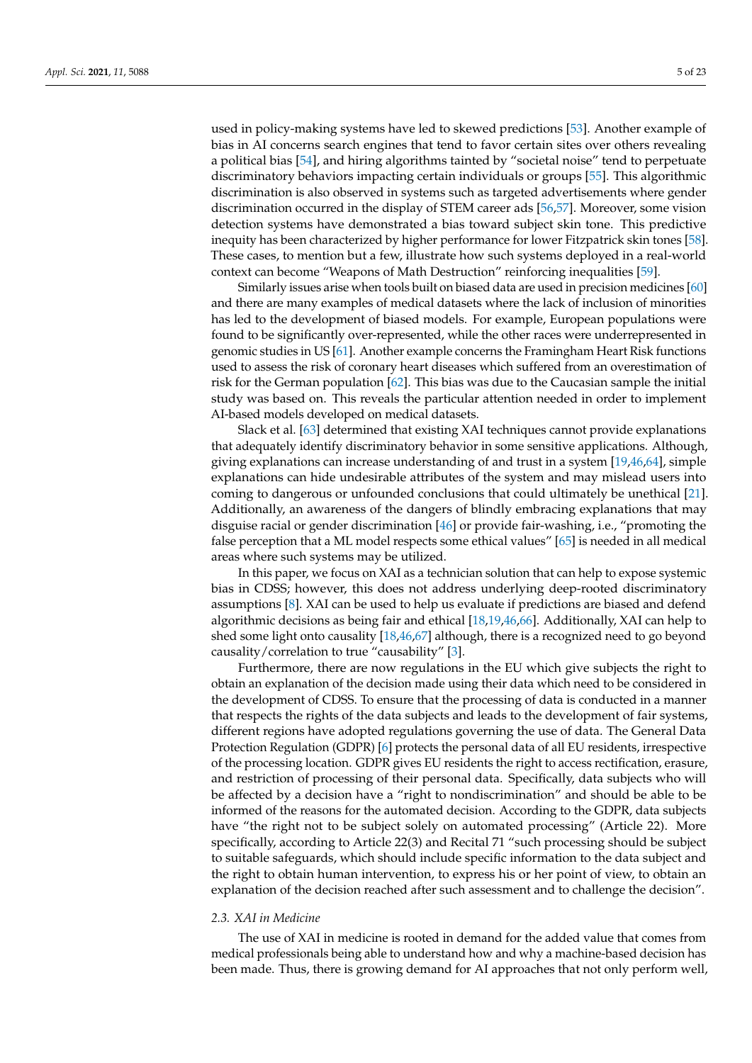used in policy-making systems have led to skewed predictions [\[53\]](#page-19-10). Another example of bias in AI concerns search engines that tend to favor certain sites over others revealing a political bias [\[54\]](#page-19-11), and hiring algorithms tainted by "societal noise" tend to perpetuate discriminatory behaviors impacting certain individuals or groups [\[55\]](#page-19-12). This algorithmic discrimination is also observed in systems such as targeted advertisements where gender discrimination occurred in the display of STEM career ads [\[56,](#page-19-13)[57\]](#page-19-14). Moreover, some vision detection systems have demonstrated a bias toward subject skin tone. This predictive inequity has been characterized by higher performance for lower Fitzpatrick skin tones [\[58\]](#page-19-15). These cases, to mention but a few, illustrate how such systems deployed in a real-world context can become "Weapons of Math Destruction" reinforcing inequalities [\[59\]](#page-19-16).

Similarly issues arise when tools built on biased data are used in precision medicines [\[60\]](#page-19-17) and there are many examples of medical datasets where the lack of inclusion of minorities has led to the development of biased models. For example, European populations were found to be significantly over-represented, while the other races were underrepresented in genomic studies in US [\[61\]](#page-19-18). Another example concerns the Framingham Heart Risk functions used to assess the risk of coronary heart diseases which suffered from an overestimation of risk for the German population [\[62\]](#page-19-19). This bias was due to the Caucasian sample the initial study was based on. This reveals the particular attention needed in order to implement AI-based models developed on medical datasets.

Slack et al. [\[63\]](#page-19-20) determined that existing XAI techniques cannot provide explanations that adequately identify discriminatory behavior in some sensitive applications. Although, giving explanations can increase understanding of and trust in a system [\[19](#page-18-3)[,46,](#page-19-3)[64\]](#page-19-21), simple explanations can hide undesirable attributes of the system and may mislead users into coming to dangerous or unfounded conclusions that could ultimately be unethical [\[21\]](#page-18-5). Additionally, an awareness of the dangers of blindly embracing explanations that may disguise racial or gender discrimination [\[46\]](#page-19-3) or provide fair-washing, i.e., "promoting the false perception that a ML model respects some ethical values" [\[65\]](#page-19-22) is needed in all medical areas where such systems may be utilized.

In this paper, we focus on XAI as a technician solution that can help to expose systemic bias in CDSS; however, this does not address underlying deep-rooted discriminatory assumptions [\[8\]](#page-17-7). XAI can be used to help us evaluate if predictions are biased and defend algorithmic decisions as being fair and ethical [\[18,](#page-18-2)[19,](#page-18-3)[46,](#page-19-3)[66\]](#page-19-23). Additionally, XAI can help to shed some light onto causality [\[18](#page-18-2)[,46,](#page-19-3)[67\]](#page-19-24) although, there is a recognized need to go beyond causality/correlation to true "causability" [\[3\]](#page-17-2).

Furthermore, there are now regulations in the EU which give subjects the right to obtain an explanation of the decision made using their data which need to be considered in the development of CDSS. To ensure that the processing of data is conducted in a manner that respects the rights of the data subjects and leads to the development of fair systems, different regions have adopted regulations governing the use of data. The General Data Protection Regulation (GDPR) [\[6\]](#page-17-5) protects the personal data of all EU residents, irrespective of the processing location. GDPR gives EU residents the right to access rectification, erasure, and restriction of processing of their personal data. Specifically, data subjects who will be affected by a decision have a "right to nondiscrimination" and should be able to be informed of the reasons for the automated decision. According to the GDPR, data subjects have "the right not to be subject solely on automated processing" (Article 22). More specifically, according to Article 22(3) and Recital 71 "such processing should be subject to suitable safeguards, which should include specific information to the data subject and the right to obtain human intervention, to express his or her point of view, to obtain an explanation of the decision reached after such assessment and to challenge the decision".

## *2.3. XAI in Medicine*

The use of XAI in medicine is rooted in demand for the added value that comes from medical professionals being able to understand how and why a machine-based decision has been made. Thus, there is growing demand for AI approaches that not only perform well,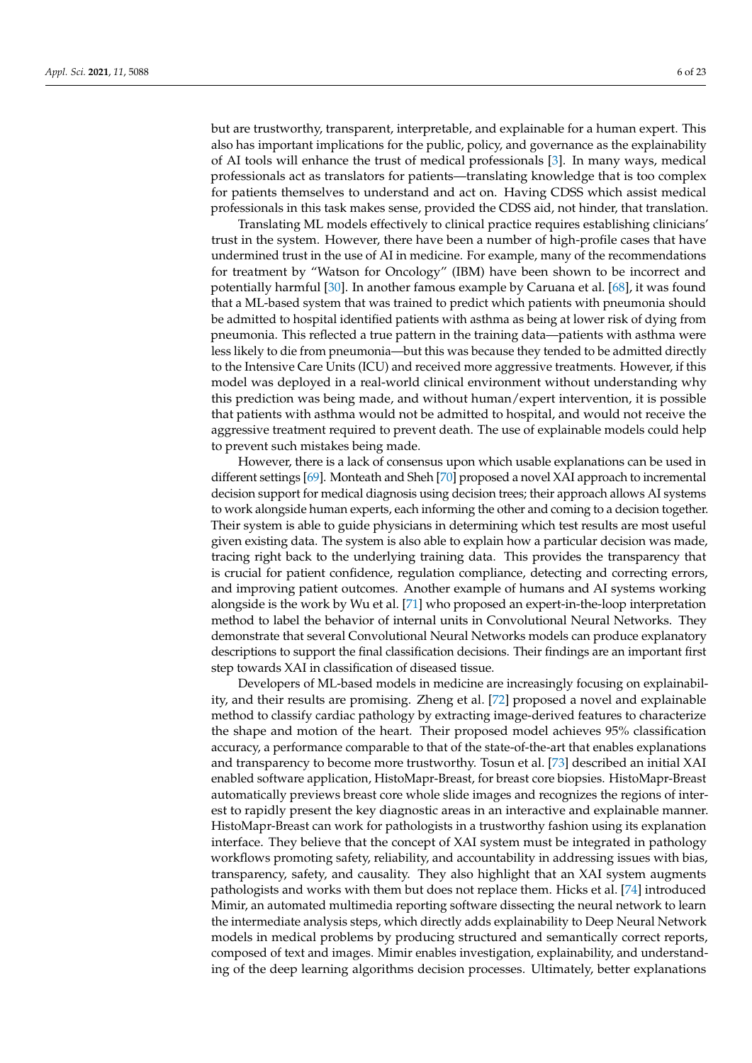but are trustworthy, transparent, interpretable, and explainable for a human expert. This also has important implications for the public, policy, and governance as the explainability of AI tools will enhance the trust of medical professionals [\[3\]](#page-17-2). In many ways, medical professionals act as translators for patients—translating knowledge that is too complex for patients themselves to understand and act on. Having CDSS which assist medical professionals in this task makes sense, provided the CDSS aid, not hinder, that translation.

Translating ML models effectively to clinical practice requires establishing clinicians' trust in the system. However, there have been a number of high-profile cases that have undermined trust in the use of AI in medicine. For example, many of the recommendations for treatment by "Watson for Oncology" (IBM) have been shown to be incorrect and potentially harmful [\[30\]](#page-18-13). In another famous example by Caruana et al. [\[68\]](#page-19-25), it was found that a ML-based system that was trained to predict which patients with pneumonia should be admitted to hospital identified patients with asthma as being at lower risk of dying from pneumonia. This reflected a true pattern in the training data—patients with asthma were less likely to die from pneumonia—but this was because they tended to be admitted directly to the Intensive Care Units (ICU) and received more aggressive treatments. However, if this model was deployed in a real-world clinical environment without understanding why this prediction was being made, and without human/expert intervention, it is possible that patients with asthma would not be admitted to hospital, and would not receive the aggressive treatment required to prevent death. The use of explainable models could help to prevent such mistakes being made.

However, there is a lack of consensus upon which usable explanations can be used in different settings [\[69\]](#page-19-26). Monteath and Sheh [\[70\]](#page-19-27) proposed a novel XAI approach to incremental decision support for medical diagnosis using decision trees; their approach allows AI systems to work alongside human experts, each informing the other and coming to a decision together. Their system is able to guide physicians in determining which test results are most useful given existing data. The system is also able to explain how a particular decision was made, tracing right back to the underlying training data. This provides the transparency that is crucial for patient confidence, regulation compliance, detecting and correcting errors, and improving patient outcomes. Another example of humans and AI systems working alongside is the work by Wu et al. [\[71\]](#page-19-28) who proposed an expert-in-the-loop interpretation method to label the behavior of internal units in Convolutional Neural Networks. They demonstrate that several Convolutional Neural Networks models can produce explanatory descriptions to support the final classification decisions. Their findings are an important first step towards XAI in classification of diseased tissue.

Developers of ML-based models in medicine are increasingly focusing on explainability, and their results are promising. Zheng et al. [\[72\]](#page-20-0) proposed a novel and explainable method to classify cardiac pathology by extracting image-derived features to characterize the shape and motion of the heart. Their proposed model achieves 95% classification accuracy, a performance comparable to that of the state-of-the-art that enables explanations and transparency to become more trustworthy. Tosun et al. [\[73\]](#page-20-1) described an initial XAI enabled software application, HistoMapr-Breast, for breast core biopsies. HistoMapr-Breast automatically previews breast core whole slide images and recognizes the regions of interest to rapidly present the key diagnostic areas in an interactive and explainable manner. HistoMapr-Breast can work for pathologists in a trustworthy fashion using its explanation interface. They believe that the concept of XAI system must be integrated in pathology workflows promoting safety, reliability, and accountability in addressing issues with bias, transparency, safety, and causality. They also highlight that an XAI system augments pathologists and works with them but does not replace them. Hicks et al. [\[74\]](#page-20-2) introduced Mimir, an automated multimedia reporting software dissecting the neural network to learn the intermediate analysis steps, which directly adds explainability to Deep Neural Network models in medical problems by producing structured and semantically correct reports, composed of text and images. Mimir enables investigation, explainability, and understanding of the deep learning algorithms decision processes. Ultimately, better explanations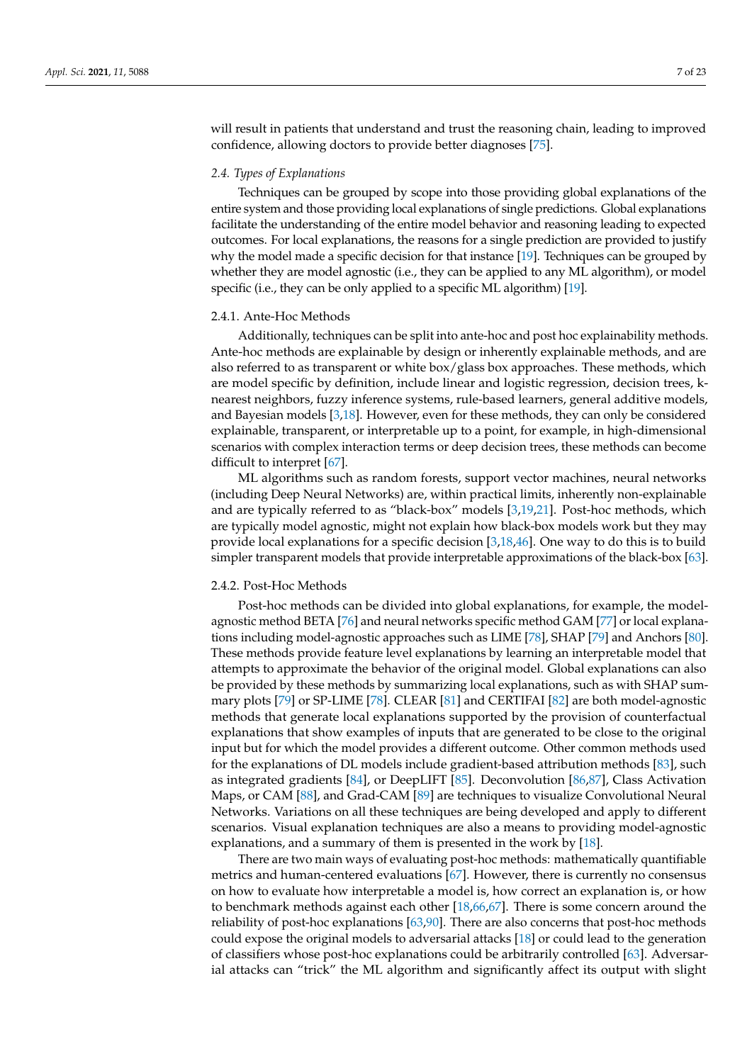will result in patients that understand and trust the reasoning chain, leading to improved confidence, allowing doctors to provide better diagnoses [\[75\]](#page-20-3).

#### *2.4. Types of Explanations*

Techniques can be grouped by scope into those providing global explanations of the entire system and those providing local explanations of single predictions. Global explanations facilitate the understanding of the entire model behavior and reasoning leading to expected outcomes. For local explanations, the reasons for a single prediction are provided to justify why the model made a specific decision for that instance [\[19\]](#page-18-3). Techniques can be grouped by whether they are model agnostic (i.e., they can be applied to any ML algorithm), or model specific (i.e., they can be only applied to a specific ML algorithm) [\[19\]](#page-18-3).

#### 2.4.1. Ante-Hoc Methods

Additionally, techniques can be split into ante-hoc and post hoc explainability methods. Ante-hoc methods are explainable by design or inherently explainable methods, and are also referred to as transparent or white  $box/g$ lass box approaches. These methods, which are model specific by definition, include linear and logistic regression, decision trees, knearest neighbors, fuzzy inference systems, rule-based learners, general additive models, and Bayesian models [\[3,](#page-17-2)[18\]](#page-18-2). However, even for these methods, they can only be considered explainable, transparent, or interpretable up to a point, for example, in high-dimensional scenarios with complex interaction terms or deep decision trees, these methods can become difficult to interpret [\[67\]](#page-19-24).

ML algorithms such as random forests, support vector machines, neural networks (including Deep Neural Networks) are, within practical limits, inherently non-explainable and are typically referred to as "black-box" models [\[3](#page-17-2)[,19](#page-18-3)[,21\]](#page-18-5). Post-hoc methods, which are typically model agnostic, might not explain how black-box models work but they may provide local explanations for a specific decision [\[3,](#page-17-2)[18,](#page-18-2)[46\]](#page-19-3). One way to do this is to build simpler transparent models that provide interpretable approximations of the black-box [\[63\]](#page-19-20).

## 2.4.2. Post-Hoc Methods

Post-hoc methods can be divided into global explanations, for example, the modelagnostic method BETA [\[76\]](#page-20-4) and neural networks specific method GAM [\[77\]](#page-20-5) or local explanations including model-agnostic approaches such as LIME [\[78\]](#page-20-6), SHAP [\[79\]](#page-20-7) and Anchors [\[80\]](#page-20-8). These methods provide feature level explanations by learning an interpretable model that attempts to approximate the behavior of the original model. Global explanations can also be provided by these methods by summarizing local explanations, such as with SHAP summary plots [\[79\]](#page-20-7) or SP-LIME [\[78\]](#page-20-6). CLEAR [\[81\]](#page-20-9) and CERTIFAI [\[82\]](#page-20-10) are both model-agnostic methods that generate local explanations supported by the provision of counterfactual explanations that show examples of inputs that are generated to be close to the original input but for which the model provides a different outcome. Other common methods used for the explanations of DL models include gradient-based attribution methods [\[83\]](#page-20-11), such as integrated gradients [\[84\]](#page-20-12), or DeepLIFT [\[85\]](#page-20-13). Deconvolution [\[86](#page-20-14)[,87\]](#page-20-15), Class Activation Maps, or CAM [\[88\]](#page-20-16), and Grad-CAM [\[89\]](#page-20-17) are techniques to visualize Convolutional Neural Networks. Variations on all these techniques are being developed and apply to different scenarios. Visual explanation techniques are also a means to providing model-agnostic explanations, and a summary of them is presented in the work by [\[18\]](#page-18-2).

There are two main ways of evaluating post-hoc methods: mathematically quantifiable metrics and human-centered evaluations [\[67\]](#page-19-24). However, there is currently no consensus on how to evaluate how interpretable a model is, how correct an explanation is, or how to benchmark methods against each other [\[18,](#page-18-2)[66](#page-19-23)[,67\]](#page-19-24). There is some concern around the reliability of post-hoc explanations [\[63,](#page-19-20)[90\]](#page-20-18). There are also concerns that post-hoc methods could expose the original models to adversarial attacks [\[18\]](#page-18-2) or could lead to the generation of classifiers whose post-hoc explanations could be arbitrarily controlled [\[63\]](#page-19-20). Adversarial attacks can "trick" the ML algorithm and significantly affect its output with slight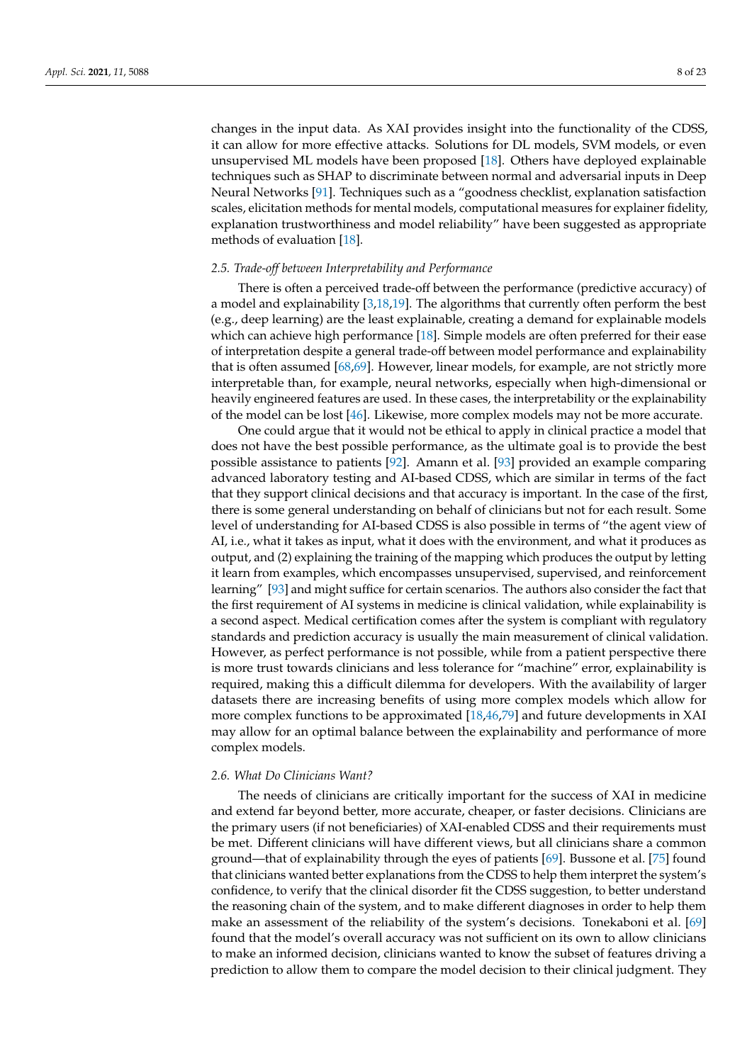changes in the input data. As XAI provides insight into the functionality of the CDSS, it can allow for more effective attacks. Solutions for DL models, SVM models, or even unsupervised ML models have been proposed [\[18\]](#page-18-2). Others have deployed explainable techniques such as SHAP to discriminate between normal and adversarial inputs in Deep Neural Networks [\[91\]](#page-20-19). Techniques such as a "goodness checklist, explanation satisfaction scales, elicitation methods for mental models, computational measures for explainer fidelity, explanation trustworthiness and model reliability" have been suggested as appropriate methods of evaluation [\[18\]](#page-18-2).

## *2.5. Trade-off between Interpretability and Performance*

There is often a perceived trade-off between the performance (predictive accuracy) of a model and explainability [\[3,](#page-17-2)[18,](#page-18-2)[19\]](#page-18-3). The algorithms that currently often perform the best (e.g., deep learning) are the least explainable, creating a demand for explainable models which can achieve high performance [\[18\]](#page-18-2). Simple models are often preferred for their ease of interpretation despite a general trade-off between model performance and explainability that is often assumed [\[68](#page-19-25)[,69\]](#page-19-26). However, linear models, for example, are not strictly more interpretable than, for example, neural networks, especially when high-dimensional or heavily engineered features are used. In these cases, the interpretability or the explainability of the model can be lost [\[46\]](#page-19-3). Likewise, more complex models may not be more accurate.

One could argue that it would not be ethical to apply in clinical practice a model that does not have the best possible performance, as the ultimate goal is to provide the best possible assistance to patients [\[92\]](#page-20-20). Amann et al. [\[93\]](#page-20-21) provided an example comparing advanced laboratory testing and AI-based CDSS, which are similar in terms of the fact that they support clinical decisions and that accuracy is important. In the case of the first, there is some general understanding on behalf of clinicians but not for each result. Some level of understanding for AI-based CDSS is also possible in terms of "the agent view of AI, i.e., what it takes as input, what it does with the environment, and what it produces as output, and (2) explaining the training of the mapping which produces the output by letting it learn from examples, which encompasses unsupervised, supervised, and reinforcement learning" [\[93\]](#page-20-21) and might suffice for certain scenarios. The authors also consider the fact that the first requirement of AI systems in medicine is clinical validation, while explainability is a second aspect. Medical certification comes after the system is compliant with regulatory standards and prediction accuracy is usually the main measurement of clinical validation. However, as perfect performance is not possible, while from a patient perspective there is more trust towards clinicians and less tolerance for "machine" error, explainability is required, making this a difficult dilemma for developers. With the availability of larger datasets there are increasing benefits of using more complex models which allow for more complex functions to be approximated [\[18](#page-18-2)[,46](#page-19-3)[,79\]](#page-20-7) and future developments in XAI may allow for an optimal balance between the explainability and performance of more complex models.

#### *2.6. What Do Clinicians Want?*

The needs of clinicians are critically important for the success of XAI in medicine and extend far beyond better, more accurate, cheaper, or faster decisions. Clinicians are the primary users (if not beneficiaries) of XAI-enabled CDSS and their requirements must be met. Different clinicians will have different views, but all clinicians share a common ground—that of explainability through the eyes of patients [\[69\]](#page-19-26). Bussone et al. [\[75\]](#page-20-3) found that clinicians wanted better explanations from the CDSS to help them interpret the system's confidence, to verify that the clinical disorder fit the CDSS suggestion, to better understand the reasoning chain of the system, and to make different diagnoses in order to help them make an assessment of the reliability of the system's decisions. Tonekaboni et al. [\[69\]](#page-19-26) found that the model's overall accuracy was not sufficient on its own to allow clinicians to make an informed decision, clinicians wanted to know the subset of features driving a prediction to allow them to compare the model decision to their clinical judgment. They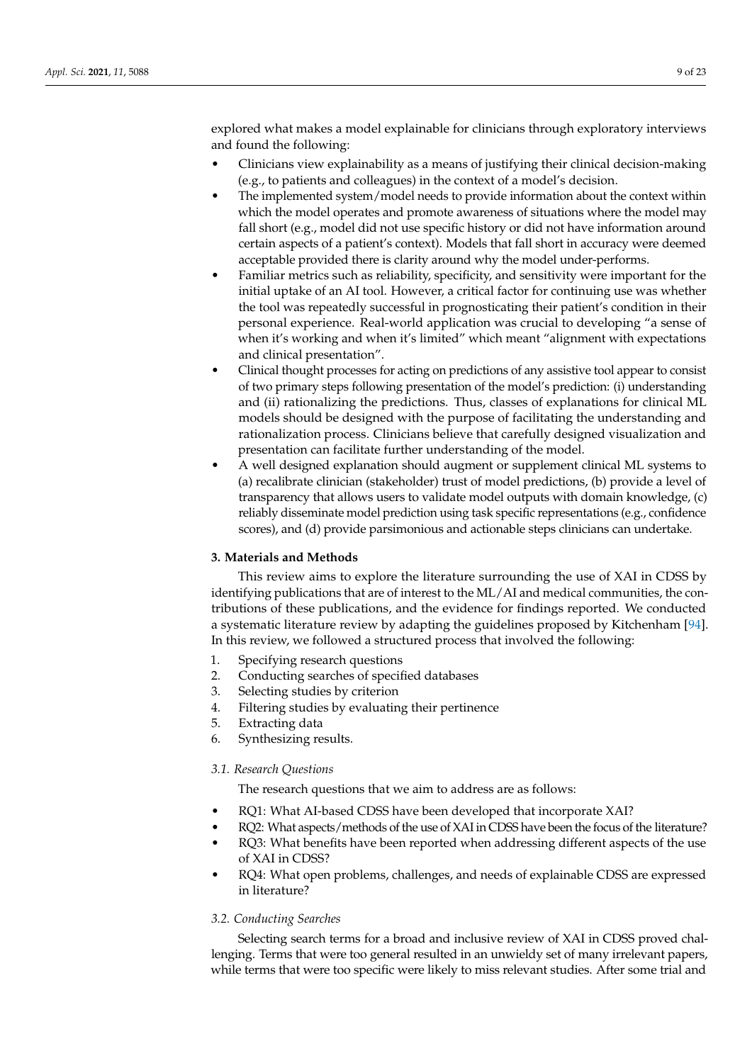explored what makes a model explainable for clinicians through exploratory interviews and found the following:

- Clinicians view explainability as a means of justifying their clinical decision-making (e.g., to patients and colleagues) in the context of a model's decision.
- The implemented system/model needs to provide information about the context within which the model operates and promote awareness of situations where the model may fall short (e.g., model did not use specific history or did not have information around certain aspects of a patient's context). Models that fall short in accuracy were deemed acceptable provided there is clarity around why the model under-performs.
- Familiar metrics such as reliability, specificity, and sensitivity were important for the initial uptake of an AI tool. However, a critical factor for continuing use was whether the tool was repeatedly successful in prognosticating their patient's condition in their personal experience. Real-world application was crucial to developing "a sense of when it's working and when it's limited" which meant "alignment with expectations and clinical presentation".
- Clinical thought processes for acting on predictions of any assistive tool appear to consist of two primary steps following presentation of the model's prediction: (i) understanding and (ii) rationalizing the predictions. Thus, classes of explanations for clinical ML models should be designed with the purpose of facilitating the understanding and rationalization process. Clinicians believe that carefully designed visualization and presentation can facilitate further understanding of the model.
- A well designed explanation should augment or supplement clinical ML systems to (a) recalibrate clinician (stakeholder) trust of model predictions, (b) provide a level of transparency that allows users to validate model outputs with domain knowledge, (c) reliably disseminate model prediction using task specific representations (e.g., confidence scores), and (d) provide parsimonious and actionable steps clinicians can undertake.

## <span id="page-8-0"></span>**3. Materials and Methods**

This review aims to explore the literature surrounding the use of XAI in CDSS by identifying publications that are of interest to the ML/AI and medical communities, the contributions of these publications, and the evidence for findings reported. We conducted a systematic literature review by adapting the guidelines proposed by Kitchenham [\[94\]](#page-20-22). In this review, we followed a structured process that involved the following:

- 1. Specifying research questions
- 2. Conducting searches of specified databases
- 3. Selecting studies by criterion
- 4. Filtering studies by evaluating their pertinence
- 5. Extracting data
- 6. Synthesizing results.

## *3.1. Research Questions*

The research questions that we aim to address are as follows:

- RQ1: What AI-based CDSS have been developed that incorporate XAI?
- RQ2: What aspects/methods of the use of XAI in CDSS have been the focus of the literature?
- RQ3: What benefits have been reported when addressing different aspects of the use of XAI in CDSS?
- RQ4: What open problems, challenges, and needs of explainable CDSS are expressed in literature?

## *3.2. Conducting Searches*

Selecting search terms for a broad and inclusive review of XAI in CDSS proved challenging. Terms that were too general resulted in an unwieldy set of many irrelevant papers, while terms that were too specific were likely to miss relevant studies. After some trial and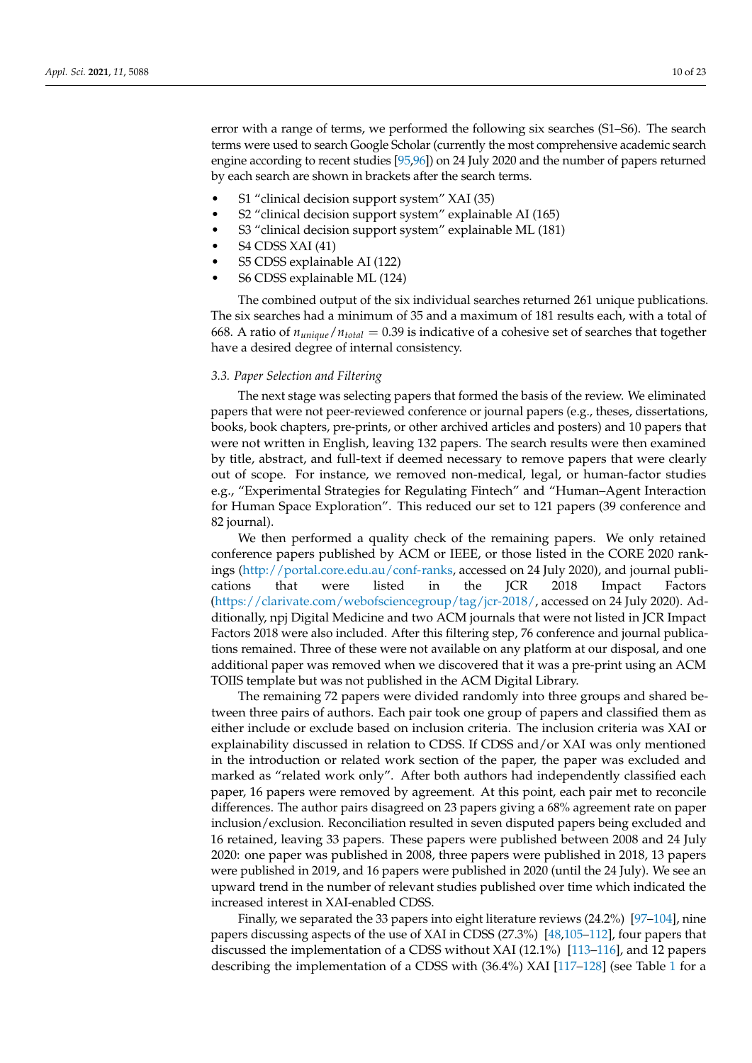error with a range of terms, we performed the following six searches (S1–S6). The search terms were used to search Google Scholar (currently the most comprehensive academic search engine according to recent studies [\[95](#page-20-23)[,96\]](#page-20-24)) on 24 July 2020 and the number of papers returned by each search are shown in brackets after the search terms.

- S1 "clinical decision support system" XAI (35)
- S2 "clinical decision support system" explainable AI (165)
- S3 "clinical decision support system" explainable ML (181)
- S4 CDSS XAI (41)
- S5 CDSS explainable AI (122)
- S6 CDSS explainable ML (124)

The combined output of the six individual searches returned 261 unique publications. The six searches had a minimum of 35 and a maximum of 181 results each, with a total of 668. A ratio of  $n_{unique}/n_{total} = 0.39$  is indicative of a cohesive set of searches that together have a desired degree of internal consistency.

## *3.3. Paper Selection and Filtering*

The next stage was selecting papers that formed the basis of the review. We eliminated papers that were not peer-reviewed conference or journal papers (e.g., theses, dissertations, books, book chapters, pre-prints, or other archived articles and posters) and 10 papers that were not written in English, leaving 132 papers. The search results were then examined by title, abstract, and full-text if deemed necessary to remove papers that were clearly out of scope. For instance, we removed non-medical, legal, or human-factor studies e.g., "Experimental Strategies for Regulating Fintech" and "Human–Agent Interaction for Human Space Exploration". This reduced our set to 121 papers (39 conference and 82 journal).

We then performed a quality check of the remaining papers. We only retained conference papers published by ACM or IEEE, or those listed in the CORE 2020 rankings [\(http://portal.core.edu.au/conf-ranks,](http://portal.core.edu.au/conf-ranks) accessed on 24 July 2020), and journal publications that were listed in the JCR 2018 Impact Factors [\(https://clarivate.com/webofsciencegroup/tag/jcr-2018/,](https://clarivate.com/webofsciencegroup/tag/jcr-2018/) accessed on 24 July 2020). Additionally, npj Digital Medicine and two ACM journals that were not listed in JCR Impact Factors 2018 were also included. After this filtering step, 76 conference and journal publications remained. Three of these were not available on any platform at our disposal, and one additional paper was removed when we discovered that it was a pre-print using an ACM TOIIS template but was not published in the ACM Digital Library.

The remaining 72 papers were divided randomly into three groups and shared between three pairs of authors. Each pair took one group of papers and classified them as either include or exclude based on inclusion criteria. The inclusion criteria was XAI or explainability discussed in relation to CDSS. If CDSS and/or XAI was only mentioned in the introduction or related work section of the paper, the paper was excluded and marked as "related work only". After both authors had independently classified each paper, 16 papers were removed by agreement. At this point, each pair met to reconcile differences. The author pairs disagreed on 23 papers giving a 68% agreement rate on paper inclusion/exclusion. Reconciliation resulted in seven disputed papers being excluded and 16 retained, leaving 33 papers. These papers were published between 2008 and 24 July 2020: one paper was published in 2008, three papers were published in 2018, 13 papers were published in 2019, and 16 papers were published in 2020 (until the 24 July). We see an upward trend in the number of relevant studies published over time which indicated the increased interest in XAI-enabled CDSS.

Finally, we separated the 33 papers into eight literature reviews (24.2%) [\[97–](#page-20-25)[104\]](#page-21-0), nine papers discussing aspects of the use of XAI in CDSS (27.3%) [\[48,](#page-19-5)[105–](#page-21-1)[112\]](#page-21-2), four papers that discussed the implementation of a CDSS without XAI (12.1%) [\[113–](#page-21-3)[116\]](#page-21-4), and 12 papers describing the implementation of a CDSS with (36.4%) XAI [\[117–](#page-21-5)[128\]](#page-22-0) (see Table [1](#page-10-1) for a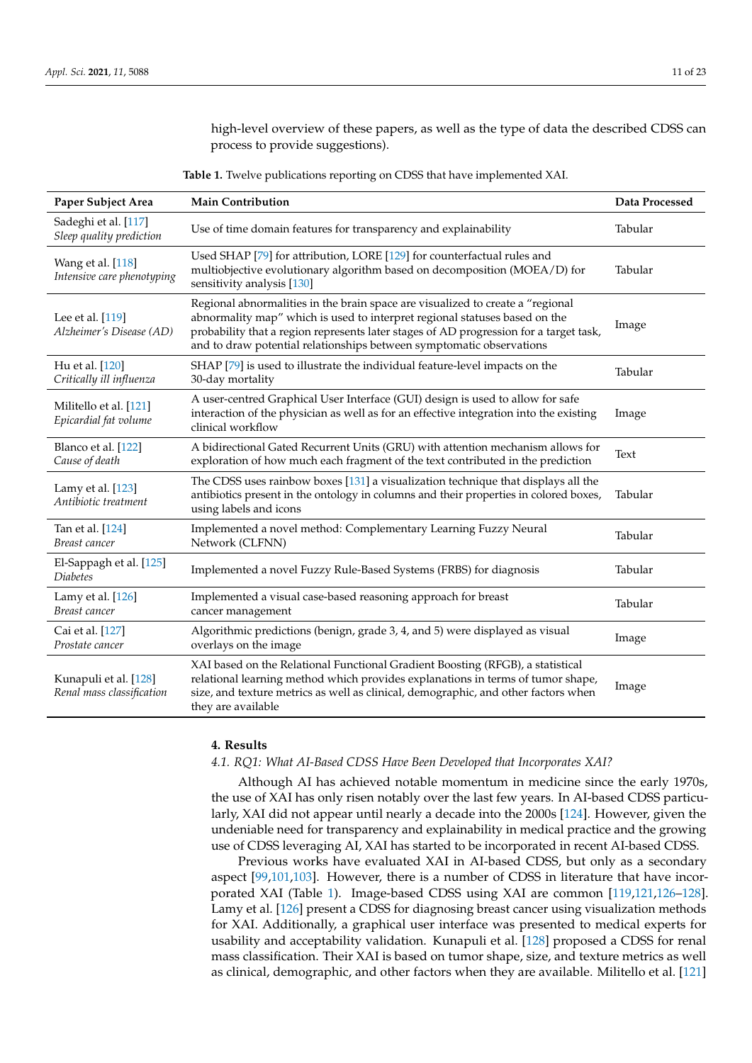high-level overview of these papers, as well as the type of data the described CDSS can process to provide suggestions).

**Table 1.** Twelve publications reporting on CDSS that have implemented XAI.

<span id="page-10-1"></span>

| Paper Subject Area                                 | <b>Main Contribution</b>                                                                                                                                                                                                                                                                                                       | Data Processed |
|----------------------------------------------------|--------------------------------------------------------------------------------------------------------------------------------------------------------------------------------------------------------------------------------------------------------------------------------------------------------------------------------|----------------|
| Sadeghi et al. [117]<br>Sleep quality prediction   | Use of time domain features for transparency and explainability                                                                                                                                                                                                                                                                | Tabular        |
| Wang et al. [118]<br>Intensive care phenotyping    | Used SHAP [79] for attribution, LORE [129] for counterfactual rules and<br>multiobjective evolutionary algorithm based on decomposition (MOEA/D) for<br>sensitivity analysis [130]                                                                                                                                             | Tabular        |
| Lee et al. [119]<br>Alzheimer's Disease (AD)       | Regional abnormalities in the brain space are visualized to create a "regional<br>abnormality map" which is used to interpret regional statuses based on the<br>probability that a region represents later stages of AD progression for a target task,<br>and to draw potential relationships between symptomatic observations | Image          |
| Hu et al. [120]<br>Critically ill influenza        | SHAP [79] is used to illustrate the individual feature-level impacts on the<br>30-day mortality                                                                                                                                                                                                                                | Tabular        |
| Militello et al. [121]<br>Epicardial fat volume    | A user-centred Graphical User Interface (GUI) design is used to allow for safe<br>interaction of the physician as well as for an effective integration into the existing<br>clinical workflow                                                                                                                                  | Image          |
| Blanco et al. [122]<br>Cause of death              | A bidirectional Gated Recurrent Units (GRU) with attention mechanism allows for<br>exploration of how much each fragment of the text contributed in the prediction                                                                                                                                                             | Text           |
| Lamy et al. [123]<br>Antibiotic treatment          | The CDSS uses rainbow boxes [131] a visualization technique that displays all the<br>antibiotics present in the ontology in columns and their properties in colored boxes,<br>using labels and icons                                                                                                                           | Tabular        |
| Tan et al. [124]<br>Breast cancer                  | Implemented a novel method: Complementary Learning Fuzzy Neural<br>Network (CLFNN)                                                                                                                                                                                                                                             | Tabular        |
| El-Sappagh et al. [125]<br>Diabetes                | Implemented a novel Fuzzy Rule-Based Systems (FRBS) for diagnosis                                                                                                                                                                                                                                                              | Tabular        |
| Lamy et al. [126]<br>Breast cancer                 | Implemented a visual case-based reasoning approach for breast<br>cancer management                                                                                                                                                                                                                                             | Tabular        |
| Cai et al. [127]<br>Prostate cancer                | Algorithmic predictions (benign, grade 3, 4, and 5) were displayed as visual<br>overlays on the image                                                                                                                                                                                                                          | Image          |
| Kunapuli et al. [128]<br>Renal mass classification | XAI based on the Relational Functional Gradient Boosting (RFGB), a statistical<br>relational learning method which provides explanations in terms of tumor shape,<br>size, and texture metrics as well as clinical, demographic, and other factors when<br>they are available                                                  | Image          |

## <span id="page-10-0"></span>**4. Results**

## *4.1. RQ1: What AI-Based CDSS Have Been Developed that Incorporates XAI?*

Although AI has achieved notable momentum in medicine since the early 1970s, the use of XAI has only risen notably over the last few years. In AI-based CDSS particularly, XAI did not appear until nearly a decade into the 2000s [\[124\]](#page-22-6). However, given the undeniable need for transparency and explainability in medical practice and the growing use of CDSS leveraging AI, XAI has started to be incorporated in recent AI-based CDSS.

Previous works have evaluated XAI in AI-based CDSS, but only as a secondary aspect [\[99,](#page-21-10)[101,](#page-21-11)[103\]](#page-21-12). However, there is a number of CDSS in literature that have incorporated XAI (Table [1\)](#page-10-1). Image-based CDSS using XAI are common [\[119,](#page-21-7)[121,](#page-21-9)[126](#page-22-8)[–128\]](#page-22-0). Lamy et al. [\[126\]](#page-22-8) present a CDSS for diagnosing breast cancer using visualization methods for XAI. Additionally, a graphical user interface was presented to medical experts for usability and acceptability validation. Kunapuli et al. [\[128\]](#page-22-0) proposed a CDSS for renal mass classification. Their XAI is based on tumor shape, size, and texture metrics as well as clinical, demographic, and other factors when they are available. Militello et al. [\[121\]](#page-21-9)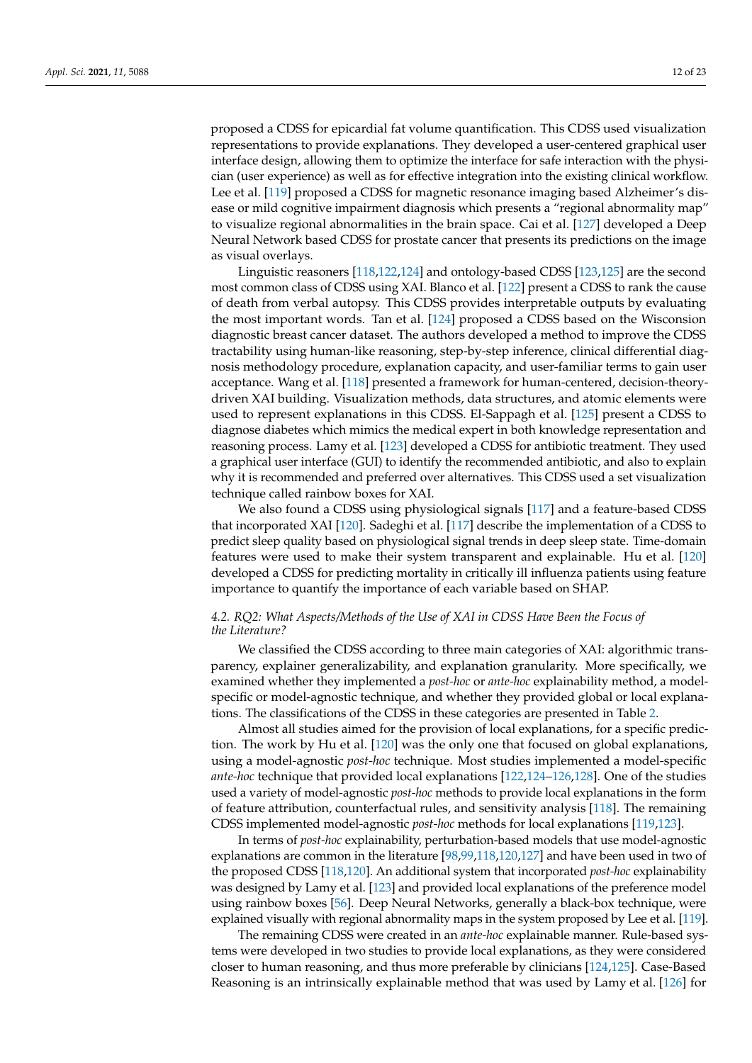proposed a CDSS for epicardial fat volume quantification. This CDSS used visualization representations to provide explanations. They developed a user-centered graphical user interface design, allowing them to optimize the interface for safe interaction with the physician (user experience) as well as for effective integration into the existing clinical workflow. Lee et al. [\[119\]](#page-21-7) proposed a CDSS for magnetic resonance imaging based Alzheimer's disease or mild cognitive impairment diagnosis which presents a "regional abnormality map" to visualize regional abnormalities in the brain space. Cai et al. [\[127\]](#page-22-9) developed a Deep Neural Network based CDSS for prostate cancer that presents its predictions on the image as visual overlays.

Linguistic reasoners [\[118,](#page-21-6)[122,](#page-22-3)[124\]](#page-22-6) and ontology-based CDSS [\[123](#page-22-4)[,125\]](#page-22-7) are the second most common class of CDSS using XAI. Blanco et al. [\[122\]](#page-22-3) present a CDSS to rank the cause of death from verbal autopsy. This CDSS provides interpretable outputs by evaluating the most important words. Tan et al. [\[124\]](#page-22-6) proposed a CDSS based on the Wisconsion diagnostic breast cancer dataset. The authors developed a method to improve the CDSS tractability using human-like reasoning, step-by-step inference, clinical differential diagnosis methodology procedure, explanation capacity, and user-familiar terms to gain user acceptance. Wang et al. [\[118\]](#page-21-6) presented a framework for human-centered, decision-theorydriven XAI building. Visualization methods, data structures, and atomic elements were used to represent explanations in this CDSS. El-Sappagh et al. [\[125\]](#page-22-7) present a CDSS to diagnose diabetes which mimics the medical expert in both knowledge representation and reasoning process. Lamy et al. [\[123\]](#page-22-4) developed a CDSS for antibiotic treatment. They used a graphical user interface (GUI) to identify the recommended antibiotic, and also to explain why it is recommended and preferred over alternatives. This CDSS used a set visualization technique called rainbow boxes for XAI.

We also found a CDSS using physiological signals [\[117\]](#page-21-5) and a feature-based CDSS that incorporated XAI [\[120\]](#page-21-8). Sadeghi et al. [\[117\]](#page-21-5) describe the implementation of a CDSS to predict sleep quality based on physiological signal trends in deep sleep state. Time-domain features were used to make their system transparent and explainable. Hu et al. [\[120\]](#page-21-8) developed a CDSS for predicting mortality in critically ill influenza patients using feature importance to quantify the importance of each variable based on SHAP.

# *4.2. RQ2: What Aspects/Methods of the Use of XAI in CDSS Have Been the Focus of the Literature?*

We classified the CDSS according to three main categories of XAI: algorithmic transparency, explainer generalizability, and explanation granularity. More specifically, we examined whether they implemented a *post-hoc* or *ante-hoc* explainability method, a modelspecific or model-agnostic technique, and whether they provided global or local explanations. The classifications of the CDSS in these categories are presented in Table [2.](#page-12-0)

Almost all studies aimed for the provision of local explanations, for a specific prediction. The work by Hu et al. [\[120\]](#page-21-8) was the only one that focused on global explanations, using a model-agnostic *post-hoc* technique. Most studies implemented a model-specific *ante-hoc* technique that provided local explanations [\[122](#page-22-3)[,124](#page-22-6)[–126,](#page-22-8)[128\]](#page-22-0). One of the studies used a variety of model-agnostic *post-hoc* methods to provide local explanations in the form of feature attribution, counterfactual rules, and sensitivity analysis [\[118\]](#page-21-6). The remaining CDSS implemented model-agnostic *post-hoc* methods for local explanations [\[119,](#page-21-7)[123\]](#page-22-4).

In terms of *post-hoc* explainability, perturbation-based models that use model-agnostic explanations are common in the literature [\[98,](#page-20-26)[99,](#page-21-10)[118](#page-21-6)[,120](#page-21-8)[,127\]](#page-22-9) and have been used in two of the proposed CDSS [\[118,](#page-21-6)[120\]](#page-21-8). An additional system that incorporated *post-hoc* explainability was designed by Lamy et al. [\[123\]](#page-22-4) and provided local explanations of the preference model using rainbow boxes [\[56\]](#page-19-13). Deep Neural Networks, generally a black-box technique, were explained visually with regional abnormality maps in the system proposed by Lee et al. [\[119\]](#page-21-7).

The remaining CDSS were created in an *ante-hoc* explainable manner. Rule-based systems were developed in two studies to provide local explanations, as they were considered closer to human reasoning, and thus more preferable by clinicians [\[124,](#page-22-6)[125\]](#page-22-7). Case-Based Reasoning is an intrinsically explainable method that was used by Lamy et al. [\[126\]](#page-22-8) for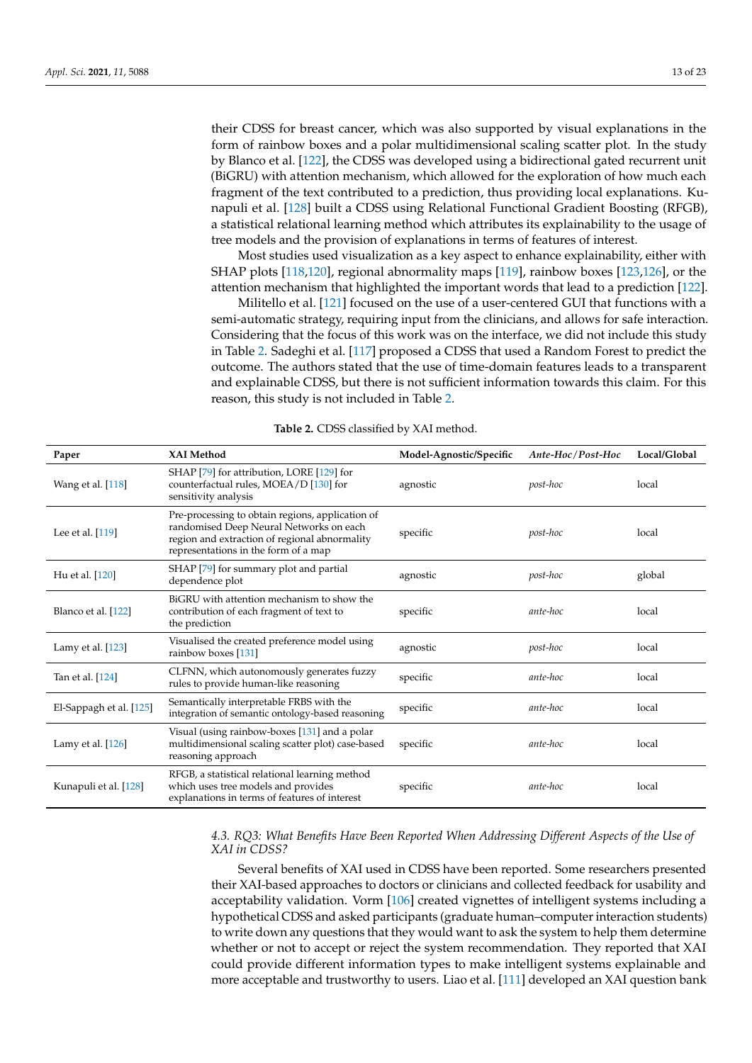their CDSS for breast cancer, which was also supported by visual explanations in the form of rainbow boxes and a polar multidimensional scaling scatter plot. In the study by Blanco et al. [\[122\]](#page-22-3), the CDSS was developed using a bidirectional gated recurrent unit (BiGRU) with attention mechanism, which allowed for the exploration of how much each fragment of the text contributed to a prediction, thus providing local explanations. Kunapuli et al. [\[128\]](#page-22-0) built a CDSS using Relational Functional Gradient Boosting (RFGB), a statistical relational learning method which attributes its explainability to the usage of tree models and the provision of explanations in terms of features of interest.

Most studies used visualization as a key aspect to enhance explainability, either with SHAP plots [\[118](#page-21-6)[,120\]](#page-21-8), regional abnormality maps [\[119\]](#page-21-7), rainbow boxes [\[123,](#page-22-4)[126\]](#page-22-8), or the attention mechanism that highlighted the important words that lead to a prediction [\[122\]](#page-22-3).

Militello et al. [\[121\]](#page-21-9) focused on the use of a user-centered GUI that functions with a semi-automatic strategy, requiring input from the clinicians, and allows for safe interaction. Considering that the focus of this work was on the interface, we did not include this study in Table [2.](#page-12-0) Sadeghi et al. [\[117\]](#page-21-5) proposed a CDSS that used a Random Forest to predict the outcome. The authors stated that the use of time-domain features leads to a transparent and explainable CDSS, but there is not sufficient information towards this claim. For this reason, this study is not included in Table [2.](#page-12-0)

<span id="page-12-0"></span>

| Paper                   | <b>XAI Method</b>                                                                                                                                                                    | Model-Agnostic/Specific | Ante-Hoc/Post-Hoc | Local/Global |
|-------------------------|--------------------------------------------------------------------------------------------------------------------------------------------------------------------------------------|-------------------------|-------------------|--------------|
| Wang et al. [118]       | SHAP [79] for attribution, LORE [129] for<br>counterfactual rules, MOEA/D [130] for<br>sensitivity analysis                                                                          | agnostic                | post-hoc          | local        |
| Lee et al. [119]        | Pre-processing to obtain regions, application of<br>randomised Deep Neural Networks on each<br>region and extraction of regional abnormality<br>representations in the form of a map | specific                | post-hoc          | local        |
| Hu et al. [120]         | SHAP [79] for summary plot and partial<br>dependence plot                                                                                                                            | agnostic                | post-hoc          | global       |
| Blanco et al. [122]     | BiGRU with attention mechanism to show the<br>contribution of each fragment of text to<br>the prediction                                                                             | specific                | ante-hoc          | local        |
| Lamy et al. $[123]$     | Visualised the created preference model using<br>rainbow boxes [131]                                                                                                                 | agnostic                | post-hoc          | local        |
| Tan et al. [124]        | CLFNN, which autonomously generates fuzzy<br>rules to provide human-like reasoning                                                                                                   | specific                | ante-hoc          | local        |
| El-Sappagh et al. [125] | Semantically interpretable FRBS with the<br>integration of semantic ontology-based reasoning                                                                                         | specific                | ante-hoc          | local        |
| Lamy et al. $[126]$     | Visual (using rainbow-boxes [131] and a polar<br>multidimensional scaling scatter plot) case-based<br>reasoning approach                                                             | specific                | ante-hoc          | local        |
| Kunapuli et al. [128]   | RFGB, a statistical relational learning method<br>which uses tree models and provides<br>explanations in terms of features of interest                                               | specific                | ante-hoc          | local        |

**Table 2.** CDSS classified by XAI method.

# <span id="page-12-1"></span>*4.3. RQ3: What Benefits Have Been Reported When Addressing Different Aspects of the Use of XAI in CDSS?*

Several benefits of XAI used in CDSS have been reported. Some researchers presented their XAI-based approaches to doctors or clinicians and collected feedback for usability and acceptability validation. Vorm [\[106\]](#page-21-13) created vignettes of intelligent systems including a hypothetical CDSS and asked participants (graduate human–computer interaction students) to write down any questions that they would want to ask the system to help them determine whether or not to accept or reject the system recommendation. They reported that XAI could provide different information types to make intelligent systems explainable and more acceptable and trustworthy to users. Liao et al. [\[111\]](#page-21-14) developed an XAI question bank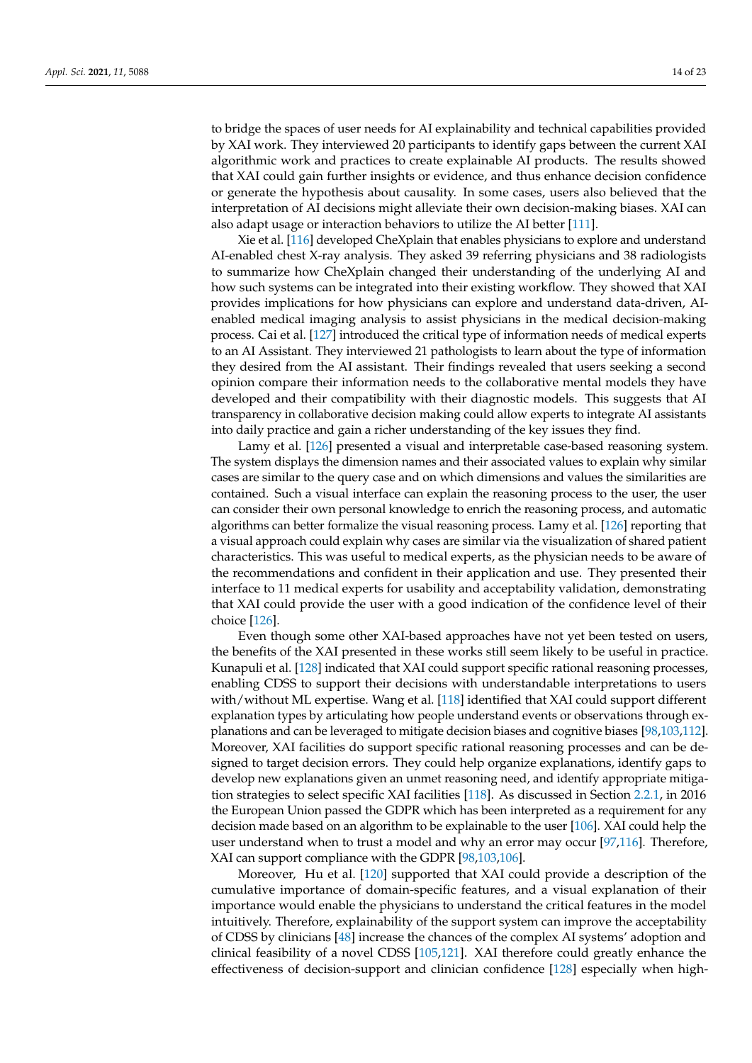to bridge the spaces of user needs for AI explainability and technical capabilities provided by XAI work. They interviewed 20 participants to identify gaps between the current XAI algorithmic work and practices to create explainable AI products. The results showed that XAI could gain further insights or evidence, and thus enhance decision confidence or generate the hypothesis about causality. In some cases, users also believed that the interpretation of AI decisions might alleviate their own decision-making biases. XAI can also adapt usage or interaction behaviors to utilize the AI better [\[111\]](#page-21-14).

Xie et al. [\[116\]](#page-21-4) developed CheXplain that enables physicians to explore and understand AI-enabled chest X-ray analysis. They asked 39 referring physicians and 38 radiologists to summarize how CheXplain changed their understanding of the underlying AI and how such systems can be integrated into their existing workflow. They showed that XAI provides implications for how physicians can explore and understand data-driven, AIenabled medical imaging analysis to assist physicians in the medical decision-making process. Cai et al. [\[127\]](#page-22-9) introduced the critical type of information needs of medical experts to an AI Assistant. They interviewed 21 pathologists to learn about the type of information they desired from the AI assistant. Their findings revealed that users seeking a second opinion compare their information needs to the collaborative mental models they have developed and their compatibility with their diagnostic models. This suggests that AI transparency in collaborative decision making could allow experts to integrate AI assistants into daily practice and gain a richer understanding of the key issues they find.

Lamy et al. [\[126\]](#page-22-8) presented a visual and interpretable case-based reasoning system. The system displays the dimension names and their associated values to explain why similar cases are similar to the query case and on which dimensions and values the similarities are contained. Such a visual interface can explain the reasoning process to the user, the user can consider their own personal knowledge to enrich the reasoning process, and automatic algorithms can better formalize the visual reasoning process. Lamy et al. [\[126\]](#page-22-8) reporting that a visual approach could explain why cases are similar via the visualization of shared patient characteristics. This was useful to medical experts, as the physician needs to be aware of the recommendations and confident in their application and use. They presented their interface to 11 medical experts for usability and acceptability validation, demonstrating that XAI could provide the user with a good indication of the confidence level of their choice [\[126\]](#page-22-8).

Even though some other XAI-based approaches have not yet been tested on users, the benefits of the XAI presented in these works still seem likely to be useful in practice. Kunapuli et al. [\[128\]](#page-22-0) indicated that XAI could support specific rational reasoning processes, enabling CDSS to support their decisions with understandable interpretations to users with/without ML expertise. Wang et al. [\[118\]](#page-21-6) identified that XAI could support different explanation types by articulating how people understand events or observations through explanations and can be leveraged to mitigate decision biases and cognitive biases [\[98](#page-20-26)[,103,](#page-21-12)[112\]](#page-21-2). Moreover, XAI facilities do support specific rational reasoning processes and can be designed to target decision errors. They could help organize explanations, identify gaps to develop new explanations given an unmet reasoning need, and identify appropriate mitigation strategies to select specific XAI facilities [\[118\]](#page-21-6). As discussed in Section [2.2.1,](#page-3-0) in 2016 the European Union passed the GDPR which has been interpreted as a requirement for any decision made based on an algorithm to be explainable to the user [\[106\]](#page-21-13). XAI could help the user understand when to trust a model and why an error may occur [\[97,](#page-20-25)[116\]](#page-21-4). Therefore, XAI can support compliance with the GDPR [\[98](#page-20-26)[,103,](#page-21-12)[106\]](#page-21-13).

Moreover, Hu et al. [\[120\]](#page-21-8) supported that XAI could provide a description of the cumulative importance of domain-specific features, and a visual explanation of their importance would enable the physicians to understand the critical features in the model intuitively. Therefore, explainability of the support system can improve the acceptability of CDSS by clinicians [\[48\]](#page-19-5) increase the chances of the complex AI systems' adoption and clinical feasibility of a novel CDSS [\[105,](#page-21-1)[121\]](#page-21-9). XAI therefore could greatly enhance the effectiveness of decision-support and clinician confidence [\[128\]](#page-22-0) especially when high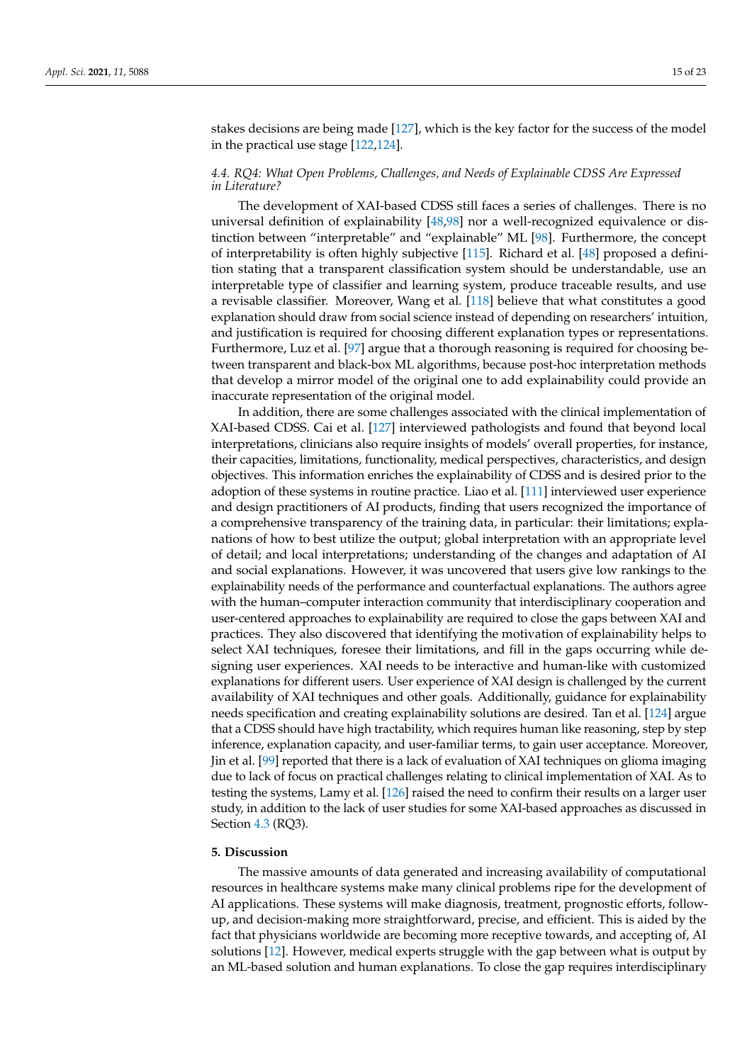stakes decisions are being made [\[127\]](#page-22-9), which is the key factor for the success of the model in the practical use stage [\[122,](#page-22-3)[124\]](#page-22-6).

## *4.4. RQ4: What Open Problems, Challenges, and Needs of Explainable CDSS Are Expressed in Literature?*

The development of XAI-based CDSS still faces a series of challenges. There is no universal definition of explainability [\[48,](#page-19-5)[98\]](#page-20-26) nor a well-recognized equivalence or distinction between "interpretable" and "explainable" ML [\[98\]](#page-20-26). Furthermore, the concept of interpretability is often highly subjective [\[115\]](#page-21-15). Richard et al. [\[48\]](#page-19-5) proposed a definition stating that a transparent classification system should be understandable, use an interpretable type of classifier and learning system, produce traceable results, and use a revisable classifier. Moreover, Wang et al. [\[118\]](#page-21-6) believe that what constitutes a good explanation should draw from social science instead of depending on researchers' intuition, and justification is required for choosing different explanation types or representations. Furthermore, Luz et al. [\[97\]](#page-20-25) argue that a thorough reasoning is required for choosing between transparent and black-box ML algorithms, because post-hoc interpretation methods that develop a mirror model of the original one to add explainability could provide an inaccurate representation of the original model.

In addition, there are some challenges associated with the clinical implementation of XAI-based CDSS. Cai et al. [\[127\]](#page-22-9) interviewed pathologists and found that beyond local interpretations, clinicians also require insights of models' overall properties, for instance, their capacities, limitations, functionality, medical perspectives, characteristics, and design objectives. This information enriches the explainability of CDSS and is desired prior to the adoption of these systems in routine practice. Liao et al. [\[111\]](#page-21-14) interviewed user experience and design practitioners of AI products, finding that users recognized the importance of a comprehensive transparency of the training data, in particular: their limitations; explanations of how to best utilize the output; global interpretation with an appropriate level of detail; and local interpretations; understanding of the changes and adaptation of AI and social explanations. However, it was uncovered that users give low rankings to the explainability needs of the performance and counterfactual explanations. The authors agree with the human–computer interaction community that interdisciplinary cooperation and user-centered approaches to explainability are required to close the gaps between XAI and practices. They also discovered that identifying the motivation of explainability helps to select XAI techniques, foresee their limitations, and fill in the gaps occurring while designing user experiences. XAI needs to be interactive and human-like with customized explanations for different users. User experience of XAI design is challenged by the current availability of XAI techniques and other goals. Additionally, guidance for explainability needs specification and creating explainability solutions are desired. Tan et al. [\[124\]](#page-22-6) argue that a CDSS should have high tractability, which requires human like reasoning, step by step inference, explanation capacity, and user-familiar terms, to gain user acceptance. Moreover, Jin et al. [\[99\]](#page-21-10) reported that there is a lack of evaluation of XAI techniques on glioma imaging due to lack of focus on practical challenges relating to clinical implementation of XAI. As to testing the systems, Lamy et al. [\[126\]](#page-22-8) raised the need to confirm their results on a larger user study, in addition to the lack of user studies for some XAI-based approaches as discussed in Section [4.3](#page-12-1) (RQ3).

## <span id="page-14-0"></span>**5. Discussion**

The massive amounts of data generated and increasing availability of computational resources in healthcare systems make many clinical problems ripe for the development of AI applications. These systems will make diagnosis, treatment, prognostic efforts, followup, and decision-making more straightforward, precise, and efficient. This is aided by the fact that physicians worldwide are becoming more receptive towards, and accepting of, AI solutions [\[12\]](#page-17-11). However, medical experts struggle with the gap between what is output by an ML-based solution and human explanations. To close the gap requires interdisciplinary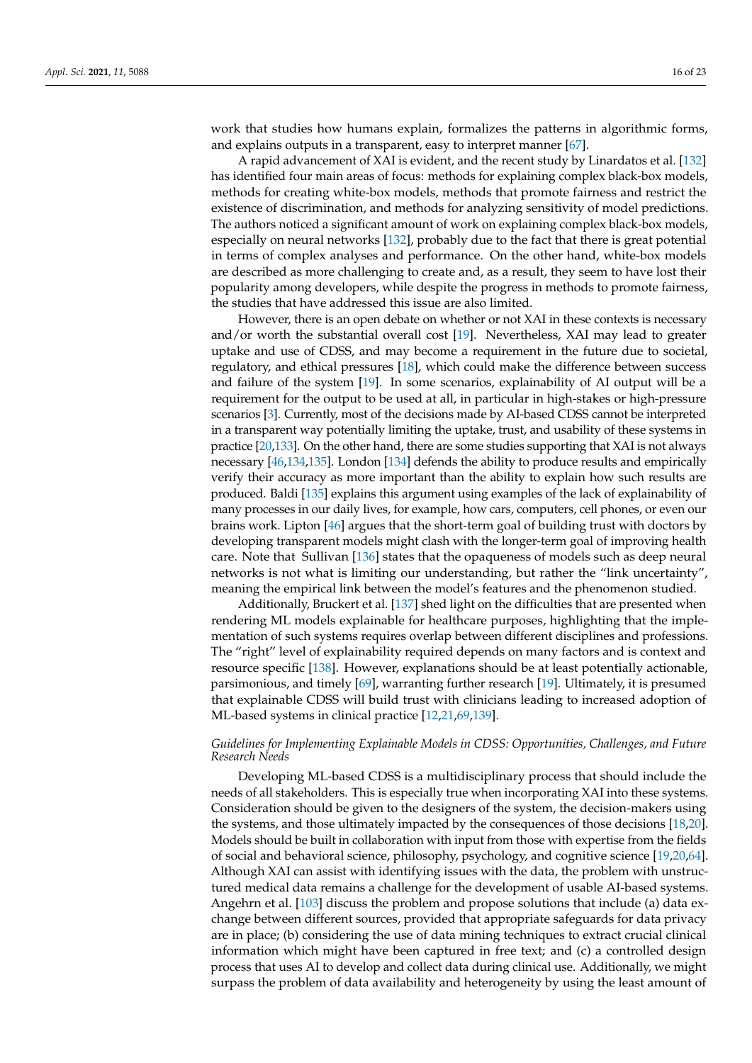work that studies how humans explain, formalizes the patterns in algorithmic forms, and explains outputs in a transparent, easy to interpret manner [\[67\]](#page-19-24).

A rapid advancement of XAI is evident, and the recent study by Linardatos et al. [\[132\]](#page-22-10) has identified four main areas of focus: methods for explaining complex black-box models, methods for creating white-box models, methods that promote fairness and restrict the existence of discrimination, and methods for analyzing sensitivity of model predictions. The authors noticed a significant amount of work on explaining complex black-box models, especially on neural networks [\[132\]](#page-22-10), probably due to the fact that there is great potential in terms of complex analyses and performance. On the other hand, white-box models are described as more challenging to create and, as a result, they seem to have lost their popularity among developers, while despite the progress in methods to promote fairness, the studies that have addressed this issue are also limited.

However, there is an open debate on whether or not XAI in these contexts is necessary and/or worth the substantial overall cost [\[19\]](#page-18-3). Nevertheless, XAI may lead to greater uptake and use of CDSS, and may become a requirement in the future due to societal, regulatory, and ethical pressures [\[18\]](#page-18-2), which could make the difference between success and failure of the system [\[19\]](#page-18-3). In some scenarios, explainability of AI output will be a requirement for the output to be used at all, in particular in high-stakes or high-pressure scenarios [\[3\]](#page-17-2). Currently, most of the decisions made by AI-based CDSS cannot be interpreted in a transparent way potentially limiting the uptake, trust, and usability of these systems in practice [\[20,](#page-18-4)[133\]](#page-22-11). On the other hand, there are some studies supporting that XAI is not always necessary [\[46,](#page-19-3)[134](#page-22-12)[,135\]](#page-22-13). London [\[134\]](#page-22-12) defends the ability to produce results and empirically verify their accuracy as more important than the ability to explain how such results are produced. Baldi [\[135\]](#page-22-13) explains this argument using examples of the lack of explainability of many processes in our daily lives, for example, how cars, computers, cell phones, or even our brains work. Lipton [\[46\]](#page-19-3) argues that the short-term goal of building trust with doctors by developing transparent models might clash with the longer-term goal of improving health care. Note that Sullivan [\[136\]](#page-22-14) states that the opaqueness of models such as deep neural networks is not what is limiting our understanding, but rather the "link uncertainty", meaning the empirical link between the model's features and the phenomenon studied.

Additionally, Bruckert et al. [\[137\]](#page-22-15) shed light on the difficulties that are presented when rendering ML models explainable for healthcare purposes, highlighting that the implementation of such systems requires overlap between different disciplines and professions. The "right" level of explainability required depends on many factors and is context and resource specific [\[138\]](#page-22-16). However, explanations should be at least potentially actionable, parsimonious, and timely [\[69\]](#page-19-26), warranting further research [\[19\]](#page-18-3). Ultimately, it is presumed that explainable CDSS will build trust with clinicians leading to increased adoption of ML-based systems in clinical practice [\[12,](#page-17-11)[21](#page-18-5)[,69](#page-19-26)[,139\]](#page-22-17).

## *Guidelines for Implementing Explainable Models in CDSS: Opportunities, Challenges, and Future Research Needs*

Developing ML-based CDSS is a multidisciplinary process that should include the needs of all stakeholders. This is especially true when incorporating XAI into these systems. Consideration should be given to the designers of the system, the decision-makers using the systems, and those ultimately impacted by the consequences of those decisions [\[18](#page-18-2)[,20\]](#page-18-4). Models should be built in collaboration with input from those with expertise from the fields of social and behavioral science, philosophy, psychology, and cognitive science [\[19](#page-18-3)[,20,](#page-18-4)[64\]](#page-19-21). Although XAI can assist with identifying issues with the data, the problem with unstructured medical data remains a challenge for the development of usable AI-based systems. Angehrn et al. [\[103\]](#page-21-12) discuss the problem and propose solutions that include (a) data exchange between different sources, provided that appropriate safeguards for data privacy are in place; (b) considering the use of data mining techniques to extract crucial clinical information which might have been captured in free text; and (c) a controlled design process that uses AI to develop and collect data during clinical use. Additionally, we might surpass the problem of data availability and heterogeneity by using the least amount of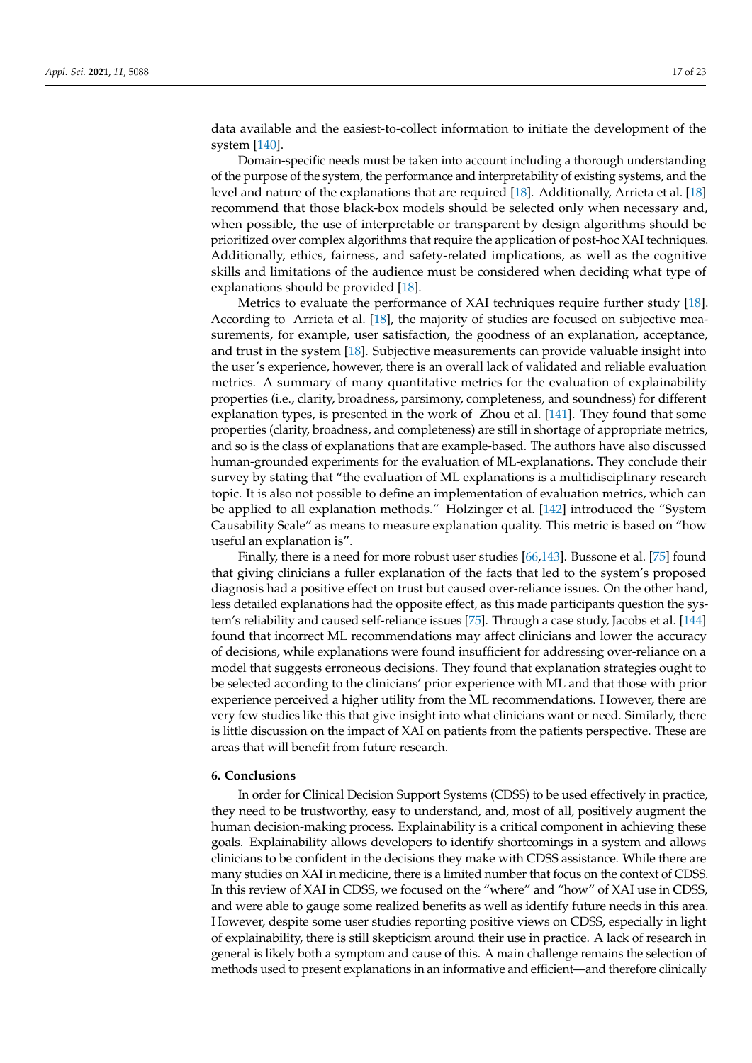data available and the easiest-to-collect information to initiate the development of the system [\[140\]](#page-22-18).

Domain-specific needs must be taken into account including a thorough understanding of the purpose of the system, the performance and interpretability of existing systems, and the level and nature of the explanations that are required [\[18\]](#page-18-2). Additionally, Arrieta et al. [\[18\]](#page-18-2) recommend that those black-box models should be selected only when necessary and, when possible, the use of interpretable or transparent by design algorithms should be prioritized over complex algorithms that require the application of post-hoc XAI techniques. Additionally, ethics, fairness, and safety-related implications, as well as the cognitive skills and limitations of the audience must be considered when deciding what type of explanations should be provided [\[18\]](#page-18-2).

Metrics to evaluate the performance of XAI techniques require further study [\[18\]](#page-18-2). According to Arrieta et al. [\[18\]](#page-18-2), the majority of studies are focused on subjective measurements, for example, user satisfaction, the goodness of an explanation, acceptance, and trust in the system [\[18\]](#page-18-2). Subjective measurements can provide valuable insight into the user's experience, however, there is an overall lack of validated and reliable evaluation metrics. A summary of many quantitative metrics for the evaluation of explainability properties (i.e., clarity, broadness, parsimony, completeness, and soundness) for different explanation types, is presented in the work of Zhou et al. [\[141\]](#page-22-19). They found that some properties (clarity, broadness, and completeness) are still in shortage of appropriate metrics, and so is the class of explanations that are example-based. The authors have also discussed human-grounded experiments for the evaluation of ML-explanations. They conclude their survey by stating that "the evaluation of ML explanations is a multidisciplinary research topic. It is also not possible to define an implementation of evaluation metrics, which can be applied to all explanation methods." Holzinger et al. [\[142\]](#page-22-20) introduced the "System Causability Scale" as means to measure explanation quality. This metric is based on "how useful an explanation is".

Finally, there is a need for more robust user studies [\[66,](#page-19-23)[143\]](#page-22-21). Bussone et al. [\[75\]](#page-20-3) found that giving clinicians a fuller explanation of the facts that led to the system's proposed diagnosis had a positive effect on trust but caused over-reliance issues. On the other hand, less detailed explanations had the opposite effect, as this made participants question the system's reliability and caused self-reliance issues [\[75\]](#page-20-3). Through a case study, Jacobs et al. [\[144\]](#page-22-22) found that incorrect ML recommendations may affect clinicians and lower the accuracy of decisions, while explanations were found insufficient for addressing over-reliance on a model that suggests erroneous decisions. They found that explanation strategies ought to be selected according to the clinicians' prior experience with ML and that those with prior experience perceived a higher utility from the ML recommendations. However, there are very few studies like this that give insight into what clinicians want or need. Similarly, there is little discussion on the impact of XAI on patients from the patients perspective. These are areas that will benefit from future research.

#### <span id="page-16-0"></span>**6. Conclusions**

In order for Clinical Decision Support Systems (CDSS) to be used effectively in practice, they need to be trustworthy, easy to understand, and, most of all, positively augment the human decision-making process. Explainability is a critical component in achieving these goals. Explainability allows developers to identify shortcomings in a system and allows clinicians to be confident in the decisions they make with CDSS assistance. While there are many studies on XAI in medicine, there is a limited number that focus on the context of CDSS. In this review of XAI in CDSS, we focused on the "where" and "how" of XAI use in CDSS, and were able to gauge some realized benefits as well as identify future needs in this area. However, despite some user studies reporting positive views on CDSS, especially in light of explainability, there is still skepticism around their use in practice. A lack of research in general is likely both a symptom and cause of this. A main challenge remains the selection of methods used to present explanations in an informative and efficient—and therefore clinically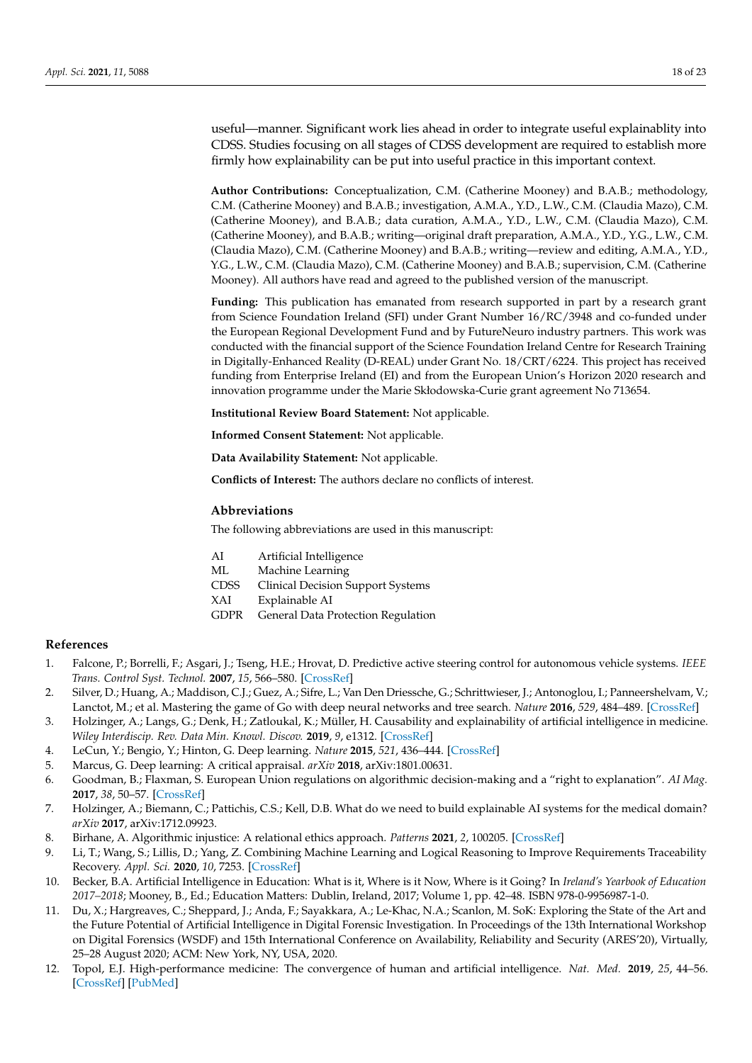useful—manner. Significant work lies ahead in order to integrate useful explainablity into CDSS. Studies focusing on all stages of CDSS development are required to establish more firmly how explainability can be put into useful practice in this important context.

**Author Contributions:** Conceptualization, C.M. (Catherine Mooney) and B.A.B.; methodology, C.M. (Catherine Mooney) and B.A.B.; investigation, A.M.A., Y.D., L.W., C.M. (Claudia Mazo), C.M. (Catherine Mooney), and B.A.B.; data curation, A.M.A., Y.D., L.W., C.M. (Claudia Mazo), C.M. (Catherine Mooney), and B.A.B.; writing—original draft preparation, A.M.A., Y.D., Y.G., L.W., C.M. (Claudia Mazo), C.M. (Catherine Mooney) and B.A.B.; writing—review and editing, A.M.A., Y.D., Y.G., L.W., C.M. (Claudia Mazo), C.M. (Catherine Mooney) and B.A.B.; supervision, C.M. (Catherine Mooney). All authors have read and agreed to the published version of the manuscript.

**Funding:** This publication has emanated from research supported in part by a research grant from Science Foundation Ireland (SFI) under Grant Number 16/RC/3948 and co-funded under the European Regional Development Fund and by FutureNeuro industry partners. This work was conducted with the financial support of the Science Foundation Ireland Centre for Research Training in Digitally-Enhanced Reality (D-REAL) under Grant No. 18/CRT/6224. This project has received funding from Enterprise Ireland (EI) and from the European Union's Horizon 2020 research and innovation programme under the Marie Skłodowska-Curie grant agreement No 713654.

**Institutional Review Board Statement:** Not applicable.

**Informed Consent Statement:** Not applicable.

**Data Availability Statement:** Not applicable.

**Conflicts of Interest:** The authors declare no conflicts of interest.

#### **Abbreviations**

The following abbreviations are used in this manuscript:

| AI          | Artificial Intelligence                  |
|-------------|------------------------------------------|
| МL          | Machine Learning                         |
| <b>CDSS</b> | <b>Clinical Decision Support Systems</b> |
| XAI         | Explainable AI                           |
| <b>GDPR</b> | General Data Protection Regulation       |

#### **References**

- <span id="page-17-0"></span>1. Falcone, P.; Borrelli, F.; Asgari, J.; Tseng, H.E.; Hrovat, D. Predictive active steering control for autonomous vehicle systems. *IEEE Trans. Control Syst. Technol.* **2007**, *15*, 566–580. [\[CrossRef\]](http://doi.org/10.1109/TCST.2007.894653)
- <span id="page-17-1"></span>2. Silver, D.; Huang, A.; Maddison, C.J.; Guez, A.; Sifre, L.; Van Den Driessche, G.; Schrittwieser, J.; Antonoglou, I.; Panneershelvam, V.; Lanctot, M.; et al. Mastering the game of Go with deep neural networks and tree search. *Nature* **2016**, *529*, 484–489. [\[CrossRef\]](http://dx.doi.org/10.1038/nature16961)
- <span id="page-17-2"></span>3. Holzinger, A.; Langs, G.; Denk, H.; Zatloukal, K.; Müller, H. Causability and explainability of artificial intelligence in medicine. *Wiley Interdiscip. Rev. Data Min. Knowl. Discov.* **2019**, *9*, e1312. [\[CrossRef\]](http://dx.doi.org/10.1002/widm.1312)
- <span id="page-17-3"></span>4. LeCun, Y.; Bengio, Y.; Hinton, G. Deep learning. *Nature* **2015**, *521*, 436–444. [\[CrossRef\]](http://dx.doi.org/10.1038/nature14539)
- <span id="page-17-4"></span>5. Marcus, G. Deep learning: A critical appraisal. *arXiv* **2018**, arXiv:1801.00631.
- <span id="page-17-5"></span>6. Goodman, B.; Flaxman, S. European Union regulations on algorithmic decision-making and a "right to explanation". *AI Mag.* **2017**, *38*, 50–57. [\[CrossRef\]](http://dx.doi.org/10.1609/aimag.v38i3.2741)
- <span id="page-17-6"></span>7. Holzinger, A.; Biemann, C.; Pattichis, C.S.; Kell, D.B. What do we need to build explainable AI systems for the medical domain? *arXiv* **2017**, arXiv:1712.09923.
- <span id="page-17-7"></span>8. Birhane, A. Algorithmic injustice: A relational ethics approach. *Patterns* **2021**, *2*, 100205. [\[CrossRef\]](http://dx.doi.org/10.1016/j.patter.2021.100205)
- <span id="page-17-8"></span>9. Li, T.; Wang, S.; Lillis, D.; Yang, Z. Combining Machine Learning and Logical Reasoning to Improve Requirements Traceability Recovery. *Appl. Sci.* **2020**, *10*, 7253. [\[CrossRef\]](http://dx.doi.org/10.3390/app10207253)
- <span id="page-17-9"></span>10. Becker, B.A. Artificial Intelligence in Education: What is it, Where is it Now, Where is it Going? In *Ireland's Yearbook of Education 2017–2018*; Mooney, B., Ed.; Education Matters: Dublin, Ireland, 2017; Volume 1, pp. 42–48. ISBN 978-0-9956987-1-0.
- <span id="page-17-10"></span>11. Du, X.; Hargreaves, C.; Sheppard, J.; Anda, F.; Sayakkara, A.; Le-Khac, N.A.; Scanlon, M. SoK: Exploring the State of the Art and the Future Potential of Artificial Intelligence in Digital Forensic Investigation. In Proceedings of the 13th International Workshop on Digital Forensics (WSDF) and 15th International Conference on Availability, Reliability and Security (ARES'20), Virtually, 25–28 August 2020; ACM: New York, NY, USA, 2020.
- <span id="page-17-11"></span>12. Topol, E.J. High-performance medicine: The convergence of human and artificial intelligence. *Nat. Med.* **2019**, *25*, 44–56. [\[CrossRef\]](http://dx.doi.org/10.1038/s41591-018-0300-7) [\[PubMed\]](http://www.ncbi.nlm.nih.gov/pubmed/30617339)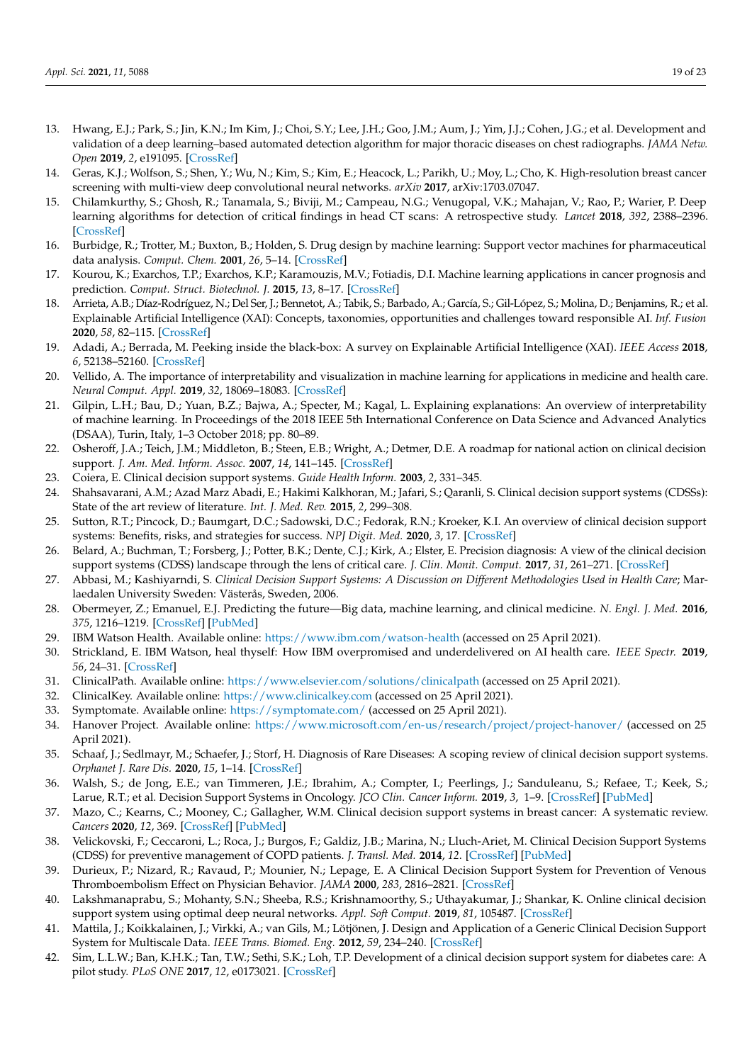- <span id="page-18-0"></span>13. Hwang, E.J.; Park, S.; Jin, K.N.; Im Kim, J.; Choi, S.Y.; Lee, J.H.; Goo, J.M.; Aum, J.; Yim, J.J.; Cohen, J.G.; et al. Development and validation of a deep learning–based automated detection algorithm for major thoracic diseases on chest radiographs. *JAMA Netw. Open* **2019**, *2*, e191095. [\[CrossRef\]](http://dx.doi.org/10.1001/jamanetworkopen.2019.1095)
- 14. Geras, K.J.; Wolfson, S.; Shen, Y.; Wu, N.; Kim, S.; Kim, E.; Heacock, L.; Parikh, U.; Moy, L.; Cho, K. High-resolution breast cancer screening with multi-view deep convolutional neural networks. *arXiv* **2017**, arXiv:1703.07047.
- 15. Chilamkurthy, S.; Ghosh, R.; Tanamala, S.; Biviji, M.; Campeau, N.G.; Venugopal, V.K.; Mahajan, V.; Rao, P.; Warier, P. Deep learning algorithms for detection of critical findings in head CT scans: A retrospective study. *Lancet* **2018**, *392*, 2388–2396. [\[CrossRef\]](http://dx.doi.org/10.1016/S0140-6736(18)31645-3)
- 16. Burbidge, R.; Trotter, M.; Buxton, B.; Holden, S. Drug design by machine learning: Support vector machines for pharmaceutical data analysis. *Comput. Chem.* **2001**, *26*, 5–14. [\[CrossRef\]](http://dx.doi.org/10.1016/S0097-8485(01)00094-8)
- <span id="page-18-1"></span>17. Kourou, K.; Exarchos, T.P.; Exarchos, K.P.; Karamouzis, M.V.; Fotiadis, D.I. Machine learning applications in cancer prognosis and prediction. *Comput. Struct. Biotechnol. J.* **2015**, *13*, 8–17. [\[CrossRef\]](http://dx.doi.org/10.1016/j.csbj.2014.11.005)
- <span id="page-18-2"></span>18. Arrieta, A.B.; Díaz-Rodríguez, N.; Del Ser, J.; Bennetot, A.; Tabik, S.; Barbado, A.; García, S.; Gil-López, S.; Molina, D.; Benjamins, R.; et al. Explainable Artificial Intelligence (XAI): Concepts, taxonomies, opportunities and challenges toward responsible AI. *Inf. Fusion* **2020**, *58*, 82–115. [\[CrossRef\]](http://dx.doi.org/10.1016/j.inffus.2019.12.012)
- <span id="page-18-3"></span>19. Adadi, A.; Berrada, M. Peeking inside the black-box: A survey on Explainable Artificial Intelligence (XAI). *IEEE Access* **2018**, *6*, 52138–52160. [\[CrossRef\]](http://dx.doi.org/10.1109/ACCESS.2018.2870052)
- <span id="page-18-4"></span>20. Vellido, A. The importance of interpretability and visualization in machine learning for applications in medicine and health care. *Neural Comput. Appl.* **2019**, *32*, 18069–18083. [\[CrossRef\]](http://dx.doi.org/10.1007/s00521-019-04051-w)
- <span id="page-18-5"></span>21. Gilpin, L.H.; Bau, D.; Yuan, B.Z.; Bajwa, A.; Specter, M.; Kagal, L. Explaining explanations: An overview of interpretability of machine learning. In Proceedings of the 2018 IEEE 5th International Conference on Data Science and Advanced Analytics (DSAA), Turin, Italy, 1–3 October 2018; pp. 80–89.
- <span id="page-18-6"></span>22. Osheroff, J.A.; Teich, J.M.; Middleton, B.; Steen, E.B.; Wright, A.; Detmer, D.E. A roadmap for national action on clinical decision support. *J. Am. Med. Inform. Assoc.* **2007**, *14*, 141–145. [\[CrossRef\]](http://dx.doi.org/10.1197/jamia.M2334)
- <span id="page-18-7"></span>23. Coiera, E. Clinical decision support systems. *Guide Health Inform.* **2003**, *2*, 331–345.
- 24. Shahsavarani, A.M.; Azad Marz Abadi, E.; Hakimi Kalkhoran, M.; Jafari, S.; Qaranli, S. Clinical decision support systems (CDSSs): State of the art review of literature. *Int. J. Med. Rev.* **2015**, *2*, 299–308.
- <span id="page-18-8"></span>25. Sutton, R.T.; Pincock, D.; Baumgart, D.C.; Sadowski, D.C.; Fedorak, R.N.; Kroeker, K.I. An overview of clinical decision support systems: Benefits, risks, and strategies for success. *NPJ Digit. Med.* **2020**, *3*, 17. [\[CrossRef\]](http://dx.doi.org/10.1038/s41746-020-0221-y)
- <span id="page-18-9"></span>26. Belard, A.; Buchman, T.; Forsberg, J.; Potter, B.K.; Dente, C.J.; Kirk, A.; Elster, E. Precision diagnosis: A view of the clinical decision support systems (CDSS) landscape through the lens of critical care. *J. Clin. Monit. Comput.* **2017**, *31*, 261–271. [\[CrossRef\]](http://dx.doi.org/10.1007/s10877-016-9849-1)
- <span id="page-18-10"></span>27. Abbasi, M.; Kashiyarndi, S. *Clinical Decision Support Systems: A Discussion on Different Methodologies Used in Health Care*; Marlaedalen University Sweden: Västerås, Sweden, 2006.
- <span id="page-18-11"></span>28. Obermeyer, Z.; Emanuel, E.J. Predicting the future—Big data, machine learning, and clinical medicine. *N. Engl. J. Med.* **2016**, *375*, 1216–1219. [\[CrossRef\]](http://dx.doi.org/10.1056/NEJMp1606181) [\[PubMed\]](http://www.ncbi.nlm.nih.gov/pubmed/27682033)
- <span id="page-18-12"></span>29. IBM Watson Health. Available online: <https://www.ibm.com/watson-health> (accessed on 25 April 2021).
- <span id="page-18-13"></span>30. Strickland, E. IBM Watson, heal thyself: How IBM overpromised and underdelivered on AI health care. *IEEE Spectr.* **2019**, *56*, 24–31. [\[CrossRef\]](http://dx.doi.org/10.1109/MSPEC.2019.8678513)
- <span id="page-18-14"></span>31. ClinicalPath. Available online: <https://www.elsevier.com/solutions/clinicalpath> (accessed on 25 April 2021).
- <span id="page-18-15"></span>32. ClinicalKey. Available online: <https://www.clinicalkey.com> (accessed on 25 April 2021).
- <span id="page-18-16"></span>33. Symptomate. Available online: <https://symptomate.com/> (accessed on 25 April 2021).
- <span id="page-18-17"></span>34. Hanover Project. Available online: <https://www.microsoft.com/en-us/research/project/project-hanover/> (accessed on 25 April 2021).
- <span id="page-18-18"></span>35. Schaaf, J.; Sedlmayr, M.; Schaefer, J.; Storf, H. Diagnosis of Rare Diseases: A scoping review of clinical decision support systems. *Orphanet J. Rare Dis.* **2020**, *15*, 1–14. [\[CrossRef\]](http://dx.doi.org/10.1186/s13023-020-01536-z)
- <span id="page-18-19"></span>36. Walsh, S.; de Jong, E.E.; van Timmeren, J.E.; Ibrahim, A.; Compter, I.; Peerlings, J.; Sanduleanu, S.; Refaee, T.; Keek, S.; Larue, R.T.; et al. Decision Support Systems in Oncology. *JCO Clin. Cancer Inform.* **2019**, *3*, 1–9. [\[CrossRef\]](http://dx.doi.org/10.1200/CCI.18.00001) [\[PubMed\]](http://www.ncbi.nlm.nih.gov/pubmed/30730766)
- <span id="page-18-20"></span>37. Mazo, C.; Kearns, C.; Mooney, C.; Gallagher, W.M. Clinical decision support systems in breast cancer: A systematic review. *Cancers* **2020**, *12*, 369. [\[CrossRef\]](http://dx.doi.org/10.3390/cancers12020369) [\[PubMed\]](http://www.ncbi.nlm.nih.gov/pubmed/32041094)
- <span id="page-18-21"></span>38. Velickovski, F.; Ceccaroni, L.; Roca, J.; Burgos, F.; Galdiz, J.B.; Marina, N.; Lluch-Ariet, M. Clinical Decision Support Systems (CDSS) for preventive management of COPD patients. *J. Transl. Med.* **2014**, *12*. [\[CrossRef\]](http://dx.doi.org/10.1186/1479-5876-12-S2-S9) [\[PubMed\]](http://www.ncbi.nlm.nih.gov/pubmed/25471545)
- <span id="page-18-22"></span>39. Durieux, P.; Nizard, R.; Ravaud, P.; Mounier, N.; Lepage, E. A Clinical Decision Support System for Prevention of Venous Thromboembolism Effect on Physician Behavior. *JAMA* **2000**, *283*, 2816–2821. [\[CrossRef\]](http://dx.doi.org/10.1001/jama.283.21.2816)
- <span id="page-18-23"></span>40. Lakshmanaprabu, S.; Mohanty, S.N.; Sheeba, R.S.; Krishnamoorthy, S.; Uthayakumar, J.; Shankar, K. Online clinical decision support system using optimal deep neural networks. *Appl. Soft Comput.* **2019**, *81*, 105487. [\[CrossRef\]](http://dx.doi.org/10.1016/j.asoc.2019.105487)
- <span id="page-18-24"></span>41. Mattila, J.; Koikkalainen, J.; Virkki, A.; van Gils, M.; Lötjönen, J. Design and Application of a Generic Clinical Decision Support System for Multiscale Data. *IEEE Trans. Biomed. Eng.* **2012**, *59*, 234–240. [\[CrossRef\]](http://dx.doi.org/10.1109/TBME.2011.2170986)
- <span id="page-18-25"></span>42. Sim, L.L.W.; Ban, K.H.K.; Tan, T.W.; Sethi, S.K.; Loh, T.P. Development of a clinical decision support system for diabetes care: A pilot study. *PLoS ONE* **2017**, *12*, e0173021. [\[CrossRef\]](http://dx.doi.org/10.1371/journal.pone.0173021)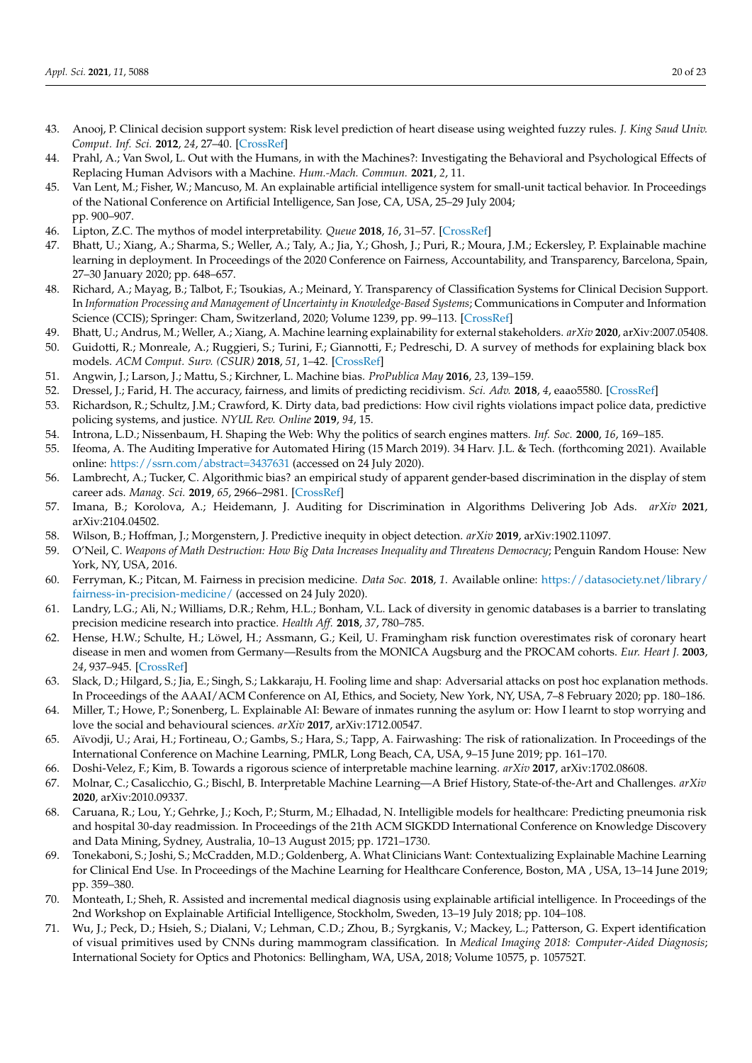- <span id="page-19-0"></span>43. Anooj, P. Clinical decision support system: Risk level prediction of heart disease using weighted fuzzy rules. *J. King Saud Univ. Comput. Inf. Sci.* **2012**, *24*, 27–40. [\[CrossRef\]](http://dx.doi.org/10.1016/j.jksuci.2011.09.002)
- <span id="page-19-1"></span>44. Prahl, A.; Van Swol, L. Out with the Humans, in with the Machines?: Investigating the Behavioral and Psychological Effects of Replacing Human Advisors with a Machine. *Hum.-Mach. Commun.* **2021**, *2*, 11.
- <span id="page-19-2"></span>45. Van Lent, M.; Fisher, W.; Mancuso, M. An explainable artificial intelligence system for small-unit tactical behavior. In Proceedings of the National Conference on Artificial Intelligence, San Jose, CA, USA, 25–29 July 2004; pp. 900–907.
- <span id="page-19-3"></span>46. Lipton, Z.C. The mythos of model interpretability. *Queue* **2018**, *16*, 31–57. [\[CrossRef\]](http://dx.doi.org/10.1145/3236386.3241340)
- <span id="page-19-4"></span>47. Bhatt, U.; Xiang, A.; Sharma, S.; Weller, A.; Taly, A.; Jia, Y.; Ghosh, J.; Puri, R.; Moura, J.M.; Eckersley, P. Explainable machine learning in deployment. In Proceedings of the 2020 Conference on Fairness, Accountability, and Transparency, Barcelona, Spain, 27–30 January 2020; pp. 648–657.
- <span id="page-19-5"></span>48. Richard, A.; Mayag, B.; Talbot, F.; Tsoukias, A.; Meinard, Y. Transparency of Classification Systems for Clinical Decision Support. In *Information Processing and Management of Uncertainty in Knowledge-Based Systems*; Communications in Computer and Information Science (CCIS); Springer: Cham, Switzerland, 2020; Volume 1239, pp. 99–113. [\[CrossRef\]](http://dx.doi.org/10.1007/978-3-030-50153-2_8)
- <span id="page-19-6"></span>49. Bhatt, U.; Andrus, M.; Weller, A.; Xiang, A. Machine learning explainability for external stakeholders. *arXiv* **2020**, arXiv:2007.05408.
- <span id="page-19-7"></span>50. Guidotti, R.; Monreale, A.; Ruggieri, S.; Turini, F.; Giannotti, F.; Pedreschi, D. A survey of methods for explaining black box models. *ACM Comput. Surv. (CSUR)* **2018**, *51*, 1–42. [\[CrossRef\]](http://dx.doi.org/10.1145/3236009)
- <span id="page-19-8"></span>51. Angwin, J.; Larson, J.; Mattu, S.; Kirchner, L. Machine bias. *ProPublica May* **2016**, *23*, 139–159.
- <span id="page-19-9"></span>52. Dressel, J.; Farid, H. The accuracy, fairness, and limits of predicting recidivism. *Sci. Adv.* **2018**, *4*, eaao5580. [\[CrossRef\]](http://dx.doi.org/10.1126/sciadv.aao5580)
- <span id="page-19-10"></span>53. Richardson, R.; Schultz, J.M.; Crawford, K. Dirty data, bad predictions: How civil rights violations impact police data, predictive policing systems, and justice. *NYUL Rev. Online* **2019**, *94*, 15.
- <span id="page-19-11"></span>54. Introna, L.D.; Nissenbaum, H. Shaping the Web: Why the politics of search engines matters. *Inf. Soc.* **2000**, *16*, 169–185.
- <span id="page-19-12"></span>55. Ifeoma, A. The Auditing Imperative for Automated Hiring (15 March 2019). 34 Harv. J.L. & Tech. (forthcoming 2021). Available online: <https://ssrn.com/abstract=3437631> (accessed on 24 July 2020).
- <span id="page-19-13"></span>56. Lambrecht, A.; Tucker, C. Algorithmic bias? an empirical study of apparent gender-based discrimination in the display of stem career ads. *Manag. Sci.* **2019**, *65*, 2966–2981. [\[CrossRef\]](http://dx.doi.org/10.1287/mnsc.2018.3093)
- <span id="page-19-14"></span>57. Imana, B.; Korolova, A.; Heidemann, J. Auditing for Discrimination in Algorithms Delivering Job Ads. *arXiv* **2021**, arXiv:2104.04502.
- <span id="page-19-15"></span>58. Wilson, B.; Hoffman, J.; Morgenstern, J. Predictive inequity in object detection. *arXiv* **2019**, arXiv:1902.11097.
- <span id="page-19-16"></span>59. O'Neil, C. *Weapons of Math Destruction: How Big Data Increases Inequality and Threatens Democracy*; Penguin Random House: New York, NY, USA, 2016.
- <span id="page-19-17"></span>60. Ferryman, K.; Pitcan, M. Fairness in precision medicine. *Data Soc.* **2018**, *1*. Available online: [https://datasociety.net/library/](https://datasociety.net/library/fairness-in-precision-medicine/) [fairness-in-precision-medicine/](https://datasociety.net/library/fairness-in-precision-medicine/) (accessed on 24 July 2020).
- <span id="page-19-18"></span>61. Landry, L.G.; Ali, N.; Williams, D.R.; Rehm, H.L.; Bonham, V.L. Lack of diversity in genomic databases is a barrier to translating precision medicine research into practice. *Health Aff.* **2018**, *37*, 780–785.
- <span id="page-19-19"></span>62. Hense, H.W.; Schulte, H.; Löwel, H.; Assmann, G.; Keil, U. Framingham risk function overestimates risk of coronary heart disease in men and women from Germany—Results from the MONICA Augsburg and the PROCAM cohorts. *Eur. Heart J.* **2003**, *24*, 937–945. [\[CrossRef\]](http://dx.doi.org/10.1016/S0195-668X(03)00081-2)
- <span id="page-19-20"></span>63. Slack, D.; Hilgard, S.; Jia, E.; Singh, S.; Lakkaraju, H. Fooling lime and shap: Adversarial attacks on post hoc explanation methods. In Proceedings of the AAAI/ACM Conference on AI, Ethics, and Society, New York, NY, USA, 7–8 February 2020; pp. 180–186.
- <span id="page-19-21"></span>64. Miller, T.; Howe, P.; Sonenberg, L. Explainable AI: Beware of inmates running the asylum or: How I learnt to stop worrying and love the social and behavioural sciences. *arXiv* **2017**, arXiv:1712.00547.
- <span id="page-19-22"></span>65. Aïvodji, U.; Arai, H.; Fortineau, O.; Gambs, S.; Hara, S.; Tapp, A. Fairwashing: The risk of rationalization. In Proceedings of the International Conference on Machine Learning, PMLR, Long Beach, CA, USA, 9–15 June 2019; pp. 161–170.
- <span id="page-19-23"></span>66. Doshi-Velez, F.; Kim, B. Towards a rigorous science of interpretable machine learning. *arXiv* **2017**, arXiv:1702.08608.
- <span id="page-19-24"></span>67. Molnar, C.; Casalicchio, G.; Bischl, B. Interpretable Machine Learning—A Brief History, State-of-the-Art and Challenges. *arXiv* **2020**, arXiv:2010.09337.
- <span id="page-19-25"></span>68. Caruana, R.; Lou, Y.; Gehrke, J.; Koch, P.; Sturm, M.; Elhadad, N. Intelligible models for healthcare: Predicting pneumonia risk and hospital 30-day readmission. In Proceedings of the 21th ACM SIGKDD International Conference on Knowledge Discovery and Data Mining, Sydney, Australia, 10–13 August 2015; pp. 1721–1730.
- <span id="page-19-26"></span>69. Tonekaboni, S.; Joshi, S.; McCradden, M.D.; Goldenberg, A. What Clinicians Want: Contextualizing Explainable Machine Learning for Clinical End Use. In Proceedings of the Machine Learning for Healthcare Conference, Boston, MA , USA, 13–14 June 2019; pp. 359–380.
- <span id="page-19-27"></span>70. Monteath, I.; Sheh, R. Assisted and incremental medical diagnosis using explainable artificial intelligence. In Proceedings of the 2nd Workshop on Explainable Artificial Intelligence, Stockholm, Sweden, 13–19 July 2018; pp. 104–108.
- <span id="page-19-28"></span>71. Wu, J.; Peck, D.; Hsieh, S.; Dialani, V.; Lehman, C.D.; Zhou, B.; Syrgkanis, V.; Mackey, L.; Patterson, G. Expert identification of visual primitives used by CNNs during mammogram classification. In *Medical Imaging 2018: Computer-Aided Diagnosis*; International Society for Optics and Photonics: Bellingham, WA, USA, 2018; Volume 10575, p. 105752T.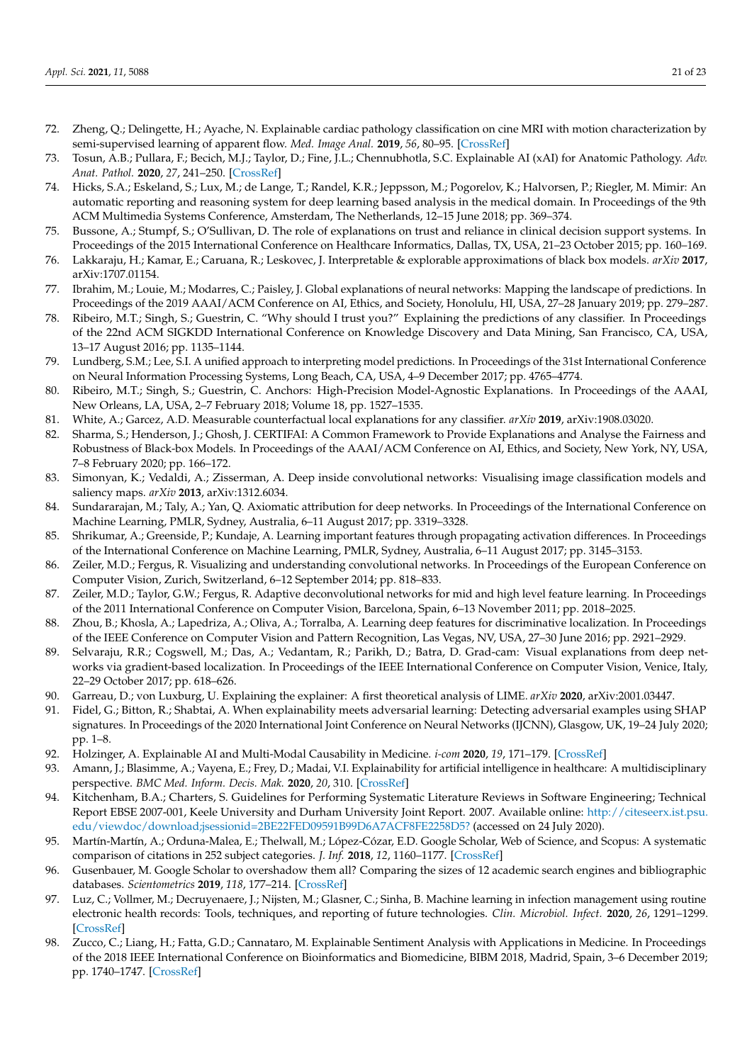- <span id="page-20-0"></span>72. Zheng, Q.; Delingette, H.; Ayache, N. Explainable cardiac pathology classification on cine MRI with motion characterization by semi-supervised learning of apparent flow. *Med. Image Anal.* **2019**, *56*, 80–95. [\[CrossRef\]](http://dx.doi.org/10.1016/j.media.2019.06.001)
- <span id="page-20-1"></span>73. Tosun, A.B.; Pullara, F.; Becich, M.J.; Taylor, D.; Fine, J.L.; Chennubhotla, S.C. Explainable AI (xAI) for Anatomic Pathology. *Adv. Anat. Pathol.* **2020**, *27*, 241–250. [\[CrossRef\]](http://dx.doi.org/10.1097/PAP.0000000000000264)
- <span id="page-20-2"></span>74. Hicks, S.A.; Eskeland, S.; Lux, M.; de Lange, T.; Randel, K.R.; Jeppsson, M.; Pogorelov, K.; Halvorsen, P.; Riegler, M. Mimir: An automatic reporting and reasoning system for deep learning based analysis in the medical domain. In Proceedings of the 9th ACM Multimedia Systems Conference, Amsterdam, The Netherlands, 12–15 June 2018; pp. 369–374.
- <span id="page-20-3"></span>75. Bussone, A.; Stumpf, S.; O'Sullivan, D. The role of explanations on trust and reliance in clinical decision support systems. In Proceedings of the 2015 International Conference on Healthcare Informatics, Dallas, TX, USA, 21–23 October 2015; pp. 160–169.
- <span id="page-20-4"></span>76. Lakkaraju, H.; Kamar, E.; Caruana, R.; Leskovec, J. Interpretable & explorable approximations of black box models. *arXiv* **2017**, arXiv:1707.01154.
- <span id="page-20-5"></span>77. Ibrahim, M.; Louie, M.; Modarres, C.; Paisley, J. Global explanations of neural networks: Mapping the landscape of predictions. In Proceedings of the 2019 AAAI/ACM Conference on AI, Ethics, and Society, Honolulu, HI, USA, 27–28 January 2019; pp. 279–287.
- <span id="page-20-6"></span>78. Ribeiro, M.T.; Singh, S.; Guestrin, C. "Why should I trust you?" Explaining the predictions of any classifier. In Proceedings of the 22nd ACM SIGKDD International Conference on Knowledge Discovery and Data Mining, San Francisco, CA, USA, 13–17 August 2016; pp. 1135–1144.
- <span id="page-20-7"></span>79. Lundberg, S.M.; Lee, S.I. A unified approach to interpreting model predictions. In Proceedings of the 31st International Conference on Neural Information Processing Systems, Long Beach, CA, USA, 4–9 December 2017; pp. 4765–4774.
- <span id="page-20-8"></span>80. Ribeiro, M.T.; Singh, S.; Guestrin, C. Anchors: High-Precision Model-Agnostic Explanations. In Proceedings of the AAAI, New Orleans, LA, USA, 2–7 February 2018; Volume 18, pp. 1527–1535.
- <span id="page-20-9"></span>81. White, A.; Garcez, A.D. Measurable counterfactual local explanations for any classifier. *arXiv* **2019**, arXiv:1908.03020.
- <span id="page-20-10"></span>82. Sharma, S.; Henderson, J.; Ghosh, J. CERTIFAI: A Common Framework to Provide Explanations and Analyse the Fairness and Robustness of Black-box Models. In Proceedings of the AAAI/ACM Conference on AI, Ethics, and Society, New York, NY, USA, 7–8 February 2020; pp. 166–172.
- <span id="page-20-11"></span>83. Simonyan, K.; Vedaldi, A.; Zisserman, A. Deep inside convolutional networks: Visualising image classification models and saliency maps. *arXiv* **2013**, arXiv:1312.6034.
- <span id="page-20-12"></span>84. Sundararajan, M.; Taly, A.; Yan, Q. Axiomatic attribution for deep networks. In Proceedings of the International Conference on Machine Learning, PMLR, Sydney, Australia, 6–11 August 2017; pp. 3319–3328.
- <span id="page-20-13"></span>85. Shrikumar, A.; Greenside, P.; Kundaje, A. Learning important features through propagating activation differences. In Proceedings of the International Conference on Machine Learning, PMLR, Sydney, Australia, 6–11 August 2017; pp. 3145–3153.
- <span id="page-20-14"></span>86. Zeiler, M.D.; Fergus, R. Visualizing and understanding convolutional networks. In Proceedings of the European Conference on Computer Vision, Zurich, Switzerland, 6–12 September 2014; pp. 818–833.
- <span id="page-20-15"></span>87. Zeiler, M.D.; Taylor, G.W.; Fergus, R. Adaptive deconvolutional networks for mid and high level feature learning. In Proceedings of the 2011 International Conference on Computer Vision, Barcelona, Spain, 6–13 November 2011; pp. 2018–2025.
- <span id="page-20-16"></span>88. Zhou, B.; Khosla, A.; Lapedriza, A.; Oliva, A.; Torralba, A. Learning deep features for discriminative localization. In Proceedings of the IEEE Conference on Computer Vision and Pattern Recognition, Las Vegas, NV, USA, 27–30 June 2016; pp. 2921–2929.
- <span id="page-20-17"></span>89. Selvaraju, R.R.; Cogswell, M.; Das, A.; Vedantam, R.; Parikh, D.; Batra, D. Grad-cam: Visual explanations from deep networks via gradient-based localization. In Proceedings of the IEEE International Conference on Computer Vision, Venice, Italy, 22–29 October 2017; pp. 618–626.
- <span id="page-20-18"></span>90. Garreau, D.; von Luxburg, U. Explaining the explainer: A first theoretical analysis of LIME. *arXiv* **2020**, arXiv:2001.03447.
- <span id="page-20-19"></span>91. Fidel, G.; Bitton, R.; Shabtai, A. When explainability meets adversarial learning: Detecting adversarial examples using SHAP signatures. In Proceedings of the 2020 International Joint Conference on Neural Networks (IJCNN), Glasgow, UK, 19–24 July 2020; pp. 1–8.
- <span id="page-20-20"></span>92. Holzinger, A. Explainable AI and Multi-Modal Causability in Medicine. *i-com* **2020**, *19*, 171–179. [\[CrossRef\]](http://dx.doi.org/10.1515/icom-2020-0024)
- <span id="page-20-21"></span>93. Amann, J.; Blasimme, A.; Vayena, E.; Frey, D.; Madai, V.I. Explainability for artificial intelligence in healthcare: A multidisciplinary perspective. *BMC Med. Inform. Decis. Mak.* **2020**, *20*, 310. [\[CrossRef\]](http://dx.doi.org/10.1186/s12911-020-01332-6)
- <span id="page-20-22"></span>94. Kitchenham, B.A.; Charters, S. Guidelines for Performing Systematic Literature Reviews in Software Engineering; Technical Report EBSE 2007-001, Keele University and Durham University Joint Report. 2007. Available online: [http://citeseerx.ist.psu.](http://citeseerx.ist.psu.edu/viewdoc/download;jsessionid=2BE22FED09591B99D6A7ACF8FE2258D5?) [edu/viewdoc/download;jsessionid=2BE22FED09591B99D6A7ACF8FE2258D5?](http://citeseerx.ist.psu.edu/viewdoc/download;jsessionid=2BE22FED09591B99D6A7ACF8FE2258D5?) (accessed on 24 July 2020).
- <span id="page-20-23"></span>95. Martín-Martín, A.; Orduna-Malea, E.; Thelwall, M.; López-Cózar, E.D. Google Scholar, Web of Science, and Scopus: A systematic comparison of citations in 252 subject categories. *J. Inf.* **2018**, *12*, 1160–1177. [\[CrossRef\]](http://dx.doi.org/10.1016/j.joi.2018.09.002)
- <span id="page-20-24"></span>96. Gusenbauer, M. Google Scholar to overshadow them all? Comparing the sizes of 12 academic search engines and bibliographic databases. *Scientometrics* **2019**, *118*, 177–214. [\[CrossRef\]](http://dx.doi.org/10.1007/s11192-018-2958-5)
- <span id="page-20-25"></span>97. Luz, C.; Vollmer, M.; Decruyenaere, J.; Nijsten, M.; Glasner, C.; Sinha, B. Machine learning in infection management using routine electronic health records: Tools, techniques, and reporting of future technologies. *Clin. Microbiol. Infect.* **2020**, *26*, 1291–1299. [\[CrossRef\]](http://dx.doi.org/10.1016/j.cmi.2020.02.003)
- <span id="page-20-26"></span>98. Zucco, C.; Liang, H.; Fatta, G.D.; Cannataro, M. Explainable Sentiment Analysis with Applications in Medicine. In Proceedings of the 2018 IEEE International Conference on Bioinformatics and Biomedicine, BIBM 2018, Madrid, Spain, 3–6 December 2019; pp. 1740–1747. [\[CrossRef\]](http://dx.doi.org/10.1109/BIBM.2018.8621359)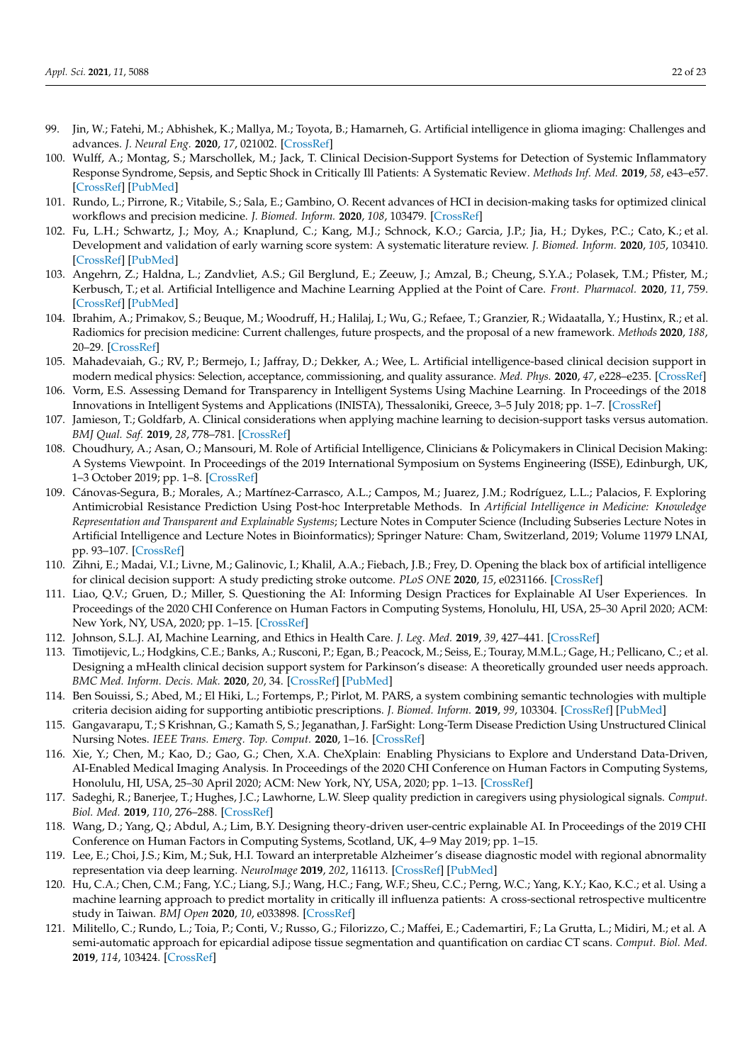- <span id="page-21-10"></span>99. Jin, W.; Fatehi, M.; Abhishek, K.; Mallya, M.; Toyota, B.; Hamarneh, G. Artificial intelligence in glioma imaging: Challenges and advances. *J. Neural Eng.* **2020**, *17*, 021002. [\[CrossRef\]](http://dx.doi.org/10.1088/1741-2552/ab8131)
- 100. Wulff, A.; Montag, S.; Marschollek, M.; Jack, T. Clinical Decision-Support Systems for Detection of Systemic Inflammatory Response Syndrome, Sepsis, and Septic Shock in Critically Ill Patients: A Systematic Review. *Methods Inf. Med.* **2019**, *58*, e43–e57. [\[CrossRef\]](http://dx.doi.org/10.1055/s-0039-1695717) [\[PubMed\]](http://www.ncbi.nlm.nih.gov/pubmed/31499571)
- <span id="page-21-11"></span>101. Rundo, L.; Pirrone, R.; Vitabile, S.; Sala, E.; Gambino, O. Recent advances of HCI in decision-making tasks for optimized clinical workflows and precision medicine. *J. Biomed. Inform.* **2020**, *108*, 103479. [\[CrossRef\]](http://dx.doi.org/10.1016/j.jbi.2020.103479)
- 102. Fu, L.H.; Schwartz, J.; Moy, A.; Knaplund, C.; Kang, M.J.; Schnock, K.O.; Garcia, J.P.; Jia, H.; Dykes, P.C.; Cato, K.; et al. Development and validation of early warning score system: A systematic literature review. *J. Biomed. Inform.* **2020**, *105*, 103410. [\[CrossRef\]](http://dx.doi.org/10.1016/j.jbi.2020.103410) [\[PubMed\]](http://www.ncbi.nlm.nih.gov/pubmed/32278089)
- <span id="page-21-12"></span>103. Angehrn, Z.; Haldna, L.; Zandvliet, A.S.; Gil Berglund, E.; Zeeuw, J.; Amzal, B.; Cheung, S.Y.A.; Polasek, T.M.; Pfister, M.; Kerbusch, T.; et al. Artificial Intelligence and Machine Learning Applied at the Point of Care. *Front. Pharmacol.* **2020**, *11*, 759. [\[CrossRef\]](http://dx.doi.org/10.3389/fphar.2020.00759) [\[PubMed\]](http://www.ncbi.nlm.nih.gov/pubmed/32625083)
- <span id="page-21-0"></span>104. Ibrahim, A.; Primakov, S.; Beuque, M.; Woodruff, H.; Halilaj, I.; Wu, G.; Refaee, T.; Granzier, R.; Widaatalla, Y.; Hustinx, R.; et al. Radiomics for precision medicine: Current challenges, future prospects, and the proposal of a new framework. *Methods* **2020**, *188*, 20–29. [\[CrossRef\]](http://dx.doi.org/10.1016/j.ymeth.2020.05.022)
- <span id="page-21-1"></span>105. Mahadevaiah, G.; RV, P.; Bermejo, I.; Jaffray, D.; Dekker, A.; Wee, L. Artificial intelligence-based clinical decision support in modern medical physics: Selection, acceptance, commissioning, and quality assurance. *Med. Phys.* **2020**, *47*, e228–e235. [\[CrossRef\]](http://dx.doi.org/10.1002/mp.13562)
- <span id="page-21-13"></span>106. Vorm, E.S. Assessing Demand for Transparency in Intelligent Systems Using Machine Learning. In Proceedings of the 2018 Innovations in Intelligent Systems and Applications (INISTA), Thessaloniki, Greece, 3–5 July 2018; pp. 1–7. [\[CrossRef\]](http://dx.doi.org/10.1109/INISTA.2018.8466328)
- 107. Jamieson, T.; Goldfarb, A. Clinical considerations when applying machine learning to decision-support tasks versus automation. *BMJ Qual. Saf.* **2019**, *28*, 778–781. [\[CrossRef\]](http://dx.doi.org/10.1136/bmjqs-2019-009514)
- 108. Choudhury, A.; Asan, O.; Mansouri, M. Role of Artificial Intelligence, Clinicians & Policymakers in Clinical Decision Making: A Systems Viewpoint. In Proceedings of the 2019 International Symposium on Systems Engineering (ISSE), Edinburgh, UK, 1–3 October 2019; pp. 1–8. [\[CrossRef\]](http://dx.doi.org/10.1109/ISSE46696.2019.8984573)
- 109. Cánovas-Segura, B.; Morales, A.; Martínez-Carrasco, A.L.; Campos, M.; Juarez, J.M.; Rodríguez, L.L.; Palacios, F. Exploring Antimicrobial Resistance Prediction Using Post-hoc Interpretable Methods. In *Artificial Intelligence in Medicine: Knowledge Representation and Transparent and Explainable Systems*; Lecture Notes in Computer Science (Including Subseries Lecture Notes in Artificial Intelligence and Lecture Notes in Bioinformatics); Springer Nature: Cham, Switzerland, 2019; Volume 11979 LNAI, pp. 93–107. [\[CrossRef\]](http://dx.doi.org/10.1007/978-3-030-37446-4_8)
- 110. Zihni, E.; Madai, V.I.; Livne, M.; Galinovic, I.; Khalil, A.A.; Fiebach, J.B.; Frey, D. Opening the black box of artificial intelligence for clinical decision support: A study predicting stroke outcome. *PLoS ONE* **2020**, *15*, e0231166. [\[CrossRef\]](http://dx.doi.org/10.1371/journal.pone.0231166)
- <span id="page-21-14"></span>111. Liao, Q.V.; Gruen, D.; Miller, S. Questioning the AI: Informing Design Practices for Explainable AI User Experiences. In Proceedings of the 2020 CHI Conference on Human Factors in Computing Systems, Honolulu, HI, USA, 25–30 April 2020; ACM: New York, NY, USA, 2020; pp. 1–15. [\[CrossRef\]](http://dx.doi.org/10.1145/3313831.3376590)
- <span id="page-21-2"></span>112. Johnson, S.L.J. AI, Machine Learning, and Ethics in Health Care. *J. Leg. Med.* **2019**, *39*, 427–441. [\[CrossRef\]](http://dx.doi.org/10.1080/01947648.2019.1690604)
- <span id="page-21-3"></span>113. Timotijevic, L.; Hodgkins, C.E.; Banks, A.; Rusconi, P.; Egan, B.; Peacock, M.; Seiss, E.; Touray, M.M.L.; Gage, H.; Pellicano, C.; et al. Designing a mHealth clinical decision support system for Parkinson's disease: A theoretically grounded user needs approach. *BMC Med. Inform. Decis. Mak.* **2020**, *20*, 34. [\[CrossRef\]](http://dx.doi.org/10.1186/s12911-020-1027-1) [\[PubMed\]](http://www.ncbi.nlm.nih.gov/pubmed/32075633)
- 114. Ben Souissi, S.; Abed, M.; El Hiki, L.; Fortemps, P.; Pirlot, M. PARS, a system combining semantic technologies with multiple criteria decision aiding for supporting antibiotic prescriptions. *J. Biomed. Inform.* **2019**, *99*, 103304. [\[CrossRef\]](http://dx.doi.org/10.1016/j.jbi.2019.103304) [\[PubMed\]](http://www.ncbi.nlm.nih.gov/pubmed/31622799)
- <span id="page-21-15"></span>115. Gangavarapu, T.; S Krishnan, G.; Kamath S, S.; Jeganathan, J. FarSight: Long-Term Disease Prediction Using Unstructured Clinical Nursing Notes. *IEEE Trans. Emerg. Top. Comput.* **2020**, 1–16. [\[CrossRef\]](http://dx.doi.org/10.1109/TETC.2020.2975251)
- <span id="page-21-4"></span>116. Xie, Y.; Chen, M.; Kao, D.; Gao, G.; Chen, X.A. CheXplain: Enabling Physicians to Explore and Understand Data-Driven, AI-Enabled Medical Imaging Analysis. In Proceedings of the 2020 CHI Conference on Human Factors in Computing Systems, Honolulu, HI, USA, 25–30 April 2020; ACM: New York, NY, USA, 2020; pp. 1–13. [\[CrossRef\]](http://dx.doi.org/10.1145/3313831.3376807)
- <span id="page-21-5"></span>117. Sadeghi, R.; Banerjee, T.; Hughes, J.C.; Lawhorne, L.W. Sleep quality prediction in caregivers using physiological signals. *Comput. Biol. Med.* **2019**, *110*, 276–288. [\[CrossRef\]](http://dx.doi.org/10.1016/j.compbiomed.2019.05.010)
- <span id="page-21-6"></span>118. Wang, D.; Yang, Q.; Abdul, A.; Lim, B.Y. Designing theory-driven user-centric explainable AI. In Proceedings of the 2019 CHI Conference on Human Factors in Computing Systems, Scotland, UK, 4–9 May 2019; pp. 1–15.
- <span id="page-21-7"></span>119. Lee, E.; Choi, J.S.; Kim, M.; Suk, H.I. Toward an interpretable Alzheimer's disease diagnostic model with regional abnormality representation via deep learning. *NeuroImage* **2019**, *202*, 116113. [\[CrossRef\]](http://dx.doi.org/10.1016/j.neuroimage.2019.116113) [\[PubMed\]](http://www.ncbi.nlm.nih.gov/pubmed/31446125)
- <span id="page-21-8"></span>120. Hu, C.A.; Chen, C.M.; Fang, Y.C.; Liang, S.J.; Wang, H.C.; Fang, W.F.; Sheu, C.C.; Perng, W.C.; Yang, K.Y.; Kao, K.C.; et al. Using a machine learning approach to predict mortality in critically ill influenza patients: A cross-sectional retrospective multicentre study in Taiwan. *BMJ Open* **2020**, *10*, e033898. [\[CrossRef\]](http://dx.doi.org/10.1136/bmjopen-2019-033898)
- <span id="page-21-9"></span>121. Militello, C.; Rundo, L.; Toia, P.; Conti, V.; Russo, G.; Filorizzo, C.; Maffei, E.; Cademartiri, F.; La Grutta, L.; Midiri, M.; et al. A semi-automatic approach for epicardial adipose tissue segmentation and quantification on cardiac CT scans. *Comput. Biol. Med.* **2019**, *114*, 103424. [\[CrossRef\]](http://dx.doi.org/10.1016/j.compbiomed.2019.103424)